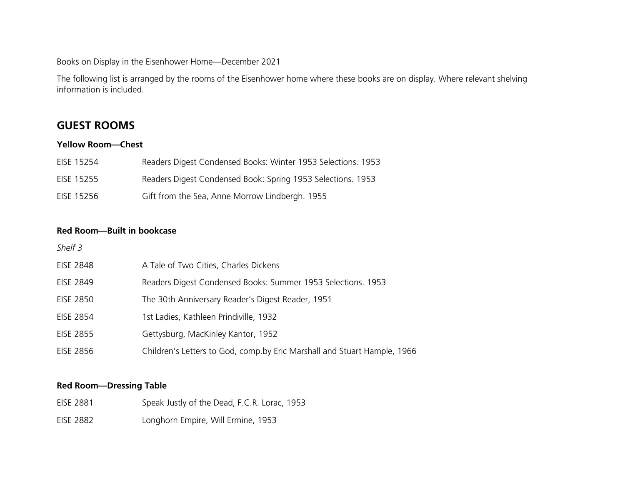Books on Display in the Eisenhower Home—December 2021

The following list is arranged by the rooms of the Eisenhower home where these books are on display. Where relevant shelving information is included.

## **GUEST ROOMS**

### **Yellow Room—Chest**

| EISE 15254 | Readers Digest Condensed Books: Winter 1953 Selections. 1953 |
|------------|--------------------------------------------------------------|
| EISE 15255 | Readers Digest Condensed Book: Spring 1953 Selections. 1953  |
| EISE 15256 | Gift from the Sea, Anne Morrow Lindbergh. 1955               |

## **Red Room—Built in bookcase**

| Shelf 3          |                                                                          |
|------------------|--------------------------------------------------------------------------|
| <b>EISE 2848</b> | A Tale of Two Cities, Charles Dickens                                    |
| <b>EISE 2849</b> | Readers Digest Condensed Books: Summer 1953 Selections. 1953             |
| <b>EISE 2850</b> | The 30th Anniversary Reader's Digest Reader, 1951                        |
| <b>EISE 2854</b> | 1st Ladies, Kathleen Prindiville, 1932                                   |
| <b>EISE 2855</b> | Gettysburg, MacKinley Kantor, 1952                                       |
| <b>EISE 2856</b> | Children's Letters to God, comp.by Eric Marshall and Stuart Hample, 1966 |

### **Red Room—Dressing Table**

| <b>EISE 2881</b> | Speak Justly of the Dead, F.C.R. Lorac, 1953 |
|------------------|----------------------------------------------|
| <b>EISE 2882</b> | Longhorn Empire, Will Ermine, 1953           |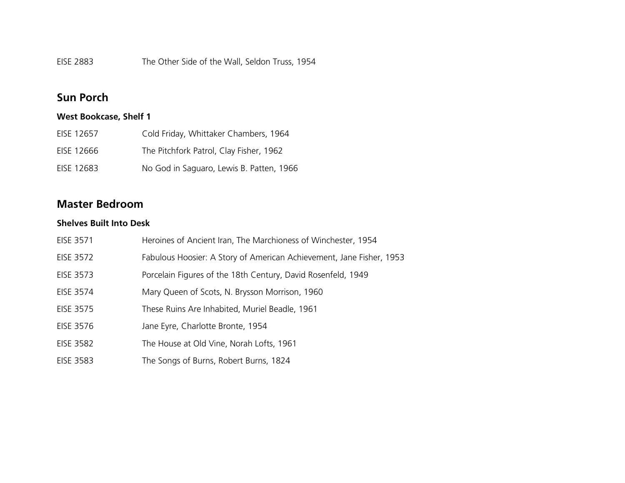EISE 2883 The Other Side of the Wall, Seldon Truss, 1954

## **Sun Porch**

## **West Bookcase, Shelf 1**

| EISE 12657 | Cold Friday, Whittaker Chambers, 1964    |
|------------|------------------------------------------|
| EISE 12666 | The Pitchfork Patrol, Clay Fisher, 1962  |
| EISE 12683 | No God in Saguaro, Lewis B. Patten, 1966 |

## **Master Bedroom**

## **Shelves Built Into Desk**

| EISE 3571        | Heroines of Ancient Iran, The Marchioness of Winchester, 1954        |
|------------------|----------------------------------------------------------------------|
| <b>EISE 3572</b> | Fabulous Hoosier: A Story of American Achievement, Jane Fisher, 1953 |
| EISE 3573        | Porcelain Figures of the 18th Century, David Rosenfeld, 1949         |
| EISE 3574        | Mary Queen of Scots, N. Brysson Morrison, 1960                       |
| <b>EISE 3575</b> | These Ruins Are Inhabited, Muriel Beadle, 1961                       |
| <b>EISE 3576</b> | Jane Eyre, Charlotte Bronte, 1954                                    |
| <b>EISE 3582</b> | The House at Old Vine, Norah Lofts, 1961                             |
| <b>EISE 3583</b> | The Songs of Burns, Robert Burns, 1824                               |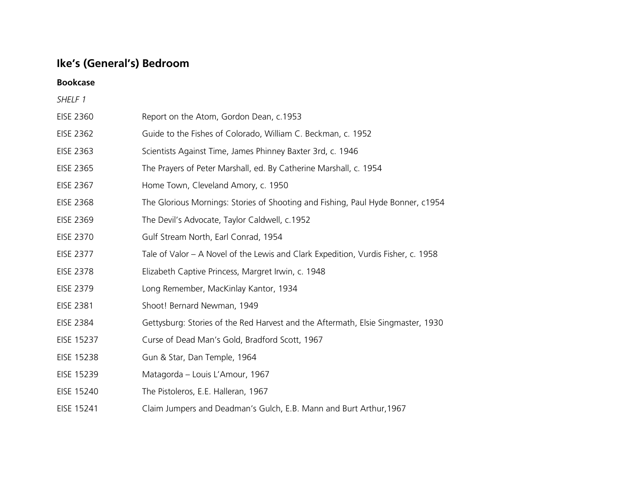# **Ike's (General's) Bedroom**

**Bookcase**

| SHELF 1          |                                                                                   |
|------------------|-----------------------------------------------------------------------------------|
| <b>EISE 2360</b> | Report on the Atom, Gordon Dean, c.1953                                           |
| <b>EISE 2362</b> | Guide to the Fishes of Colorado, William C. Beckman, c. 1952                      |
| <b>EISE 2363</b> | Scientists Against Time, James Phinney Baxter 3rd, c. 1946                        |
| EISE 2365        | The Prayers of Peter Marshall, ed. By Catherine Marshall, c. 1954                 |
| <b>EISE 2367</b> | Home Town, Cleveland Amory, c. 1950                                               |
| <b>EISE 2368</b> | The Glorious Mornings: Stories of Shooting and Fishing, Paul Hyde Bonner, c1954   |
| <b>EISE 2369</b> | The Devil's Advocate, Taylor Caldwell, c.1952                                     |
| <b>EISE 2370</b> | Gulf Stream North, Earl Conrad, 1954                                              |
| <b>EISE 2377</b> | Tale of Valor – A Novel of the Lewis and Clark Expedition, Vurdis Fisher, c. 1958 |
| <b>EISE 2378</b> | Elizabeth Captive Princess, Margret Irwin, c. 1948                                |
| <b>EISE 2379</b> | Long Remember, MacKinlay Kantor, 1934                                             |
| <b>EISE 2381</b> | Shoot! Bernard Newman, 1949                                                       |
| <b>EISE 2384</b> | Gettysburg: Stories of the Red Harvest and the Aftermath, Elsie Singmaster, 1930  |
| EISE 15237       | Curse of Dead Man's Gold, Bradford Scott, 1967                                    |
| EISE 15238       | Gun & Star, Dan Temple, 1964                                                      |
| EISE 15239       | Matagorda - Louis L'Amour, 1967                                                   |
| EISE 15240       | The Pistoleros, E.E. Halleran, 1967                                               |
| EISE 15241       | Claim Jumpers and Deadman's Gulch, E.B. Mann and Burt Arthur, 1967                |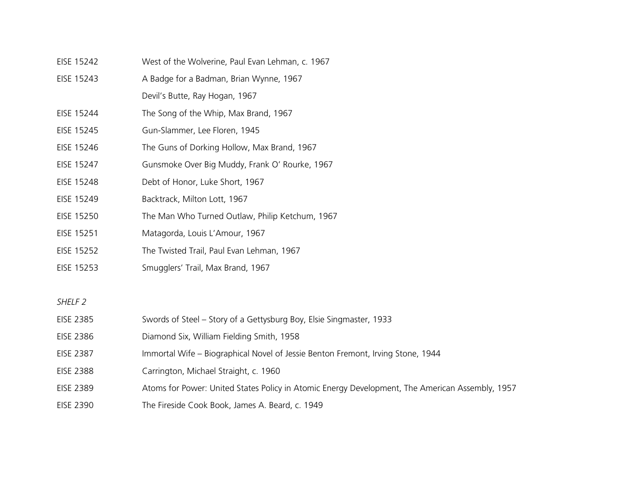| EISE 15242 | West of the Wolverine, Paul Evan Lehman, c. 1967 |
|------------|--------------------------------------------------|
| EISE 15243 | A Badge for a Badman, Brian Wynne, 1967          |
|            | Devil's Butte, Ray Hogan, 1967                   |
| EISE 15244 | The Song of the Whip, Max Brand, 1967            |
| EISE 15245 | Gun-Slammer, Lee Floren, 1945                    |
| EISE 15246 | The Guns of Dorking Hollow, Max Brand, 1967      |
| EISE 15247 | Gunsmoke Over Big Muddy, Frank O' Rourke, 1967   |
| EISE 15248 | Debt of Honor, Luke Short, 1967                  |
| EISE 15249 | Backtrack, Milton Lott, 1967                     |
| EISE 15250 | The Man Who Turned Outlaw, Philip Ketchum, 1967  |
| EISE 15251 | Matagorda, Louis L'Amour, 1967                   |
| EISE 15252 | The Twisted Trail, Paul Evan Lehman, 1967        |
| EISE 15253 | Smugglers' Trail, Max Brand, 1967                |
|            |                                                  |

| EISE 2385        | Swords of Steel – Story of a Gettysburg Boy, Elsie Singmaster, 1933                             |
|------------------|-------------------------------------------------------------------------------------------------|
| <b>EISE 2386</b> | Diamond Six, William Fielding Smith, 1958                                                       |
| <b>EISE 2387</b> | Immortal Wife – Biographical Novel of Jessie Benton Fremont, Irving Stone, 1944                 |
| <b>EISE 2388</b> | Carrington, Michael Straight, c. 1960                                                           |
| <b>EISE 2389</b> | Atoms for Power: United States Policy in Atomic Energy Development, The American Assembly, 1957 |
| <b>EISE 2390</b> | The Fireside Cook Book, James A. Beard, c. 1949                                                 |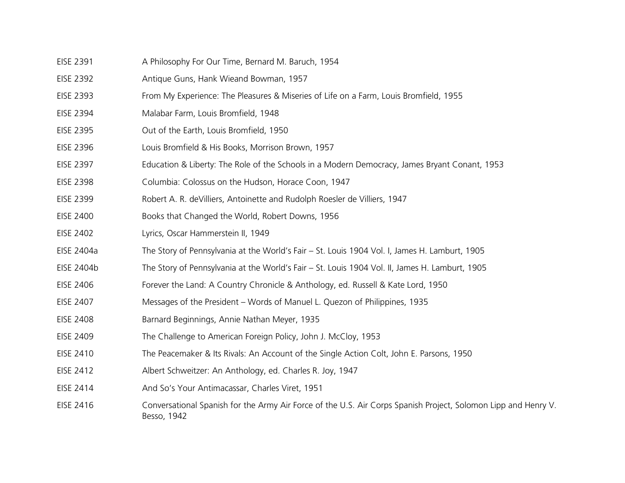- EISE 2391 A Philosophy For Our Time, Bernard M. Baruch, 1954
- EISE 2392 Antique Guns, Hank Wieand Bowman, 1957
- EISE 2393 From My Experience: The Pleasures & Miseries of Life on a Farm, Louis Bromfield, 1955
- EISE 2394 Malabar Farm, Louis Bromfield, 1948
- EISE 2395 Out of the Earth, Louis Bromfield, 1950
- EISE 2396 Louis Bromfield & His Books, Morrison Brown, 1957
- EISE 2397 Education & Liberty: The Role of the Schools in a Modern Democracy, James Bryant Conant, 1953
- EISE 2398 Columbia: Colossus on the Hudson, Horace Coon, 1947
- EISE 2399 Robert A. R. deVilliers, Antoinette and Rudolph Roesler de Villiers, 1947
- EISE 2400 Books that Changed the World, Robert Downs, 1956
- EISE 2402 Lyrics, Oscar Hammerstein II, 1949
- EISE 2404a The Story of Pennsylvania at the World's Fair St. Louis 1904 Vol. I, James H. Lamburt, 1905
- EISE 2404b The Story of Pennsylvania at the World's Fair St. Louis 1904 Vol. II, James H. Lamburt, 1905
- EISE 2406 Forever the Land: A Country Chronicle & Anthology, ed. Russell & Kate Lord, 1950
- EISE 2407 Messages of the President Words of Manuel L. Quezon of Philippines, 1935
- EISE 2408 Barnard Beginnings, Annie Nathan Meyer, 1935
- EISE 2409 The Challenge to American Foreign Policy, John J. McCloy, 1953
- EISE 2410 The Peacemaker & Its Rivals: An Account of the Single Action Colt, John E. Parsons, 1950
- EISE 2412 Albert Schweitzer: An Anthology, ed. Charles R. Joy, 1947
- EISE 2414 And So's Your Antimacassar, Charles Viret, 1951
- EISE 2416 Conversational Spanish for the Army Air Force of the U.S. Air Corps Spanish Project, Solomon Lipp and Henry V. Besso, 1942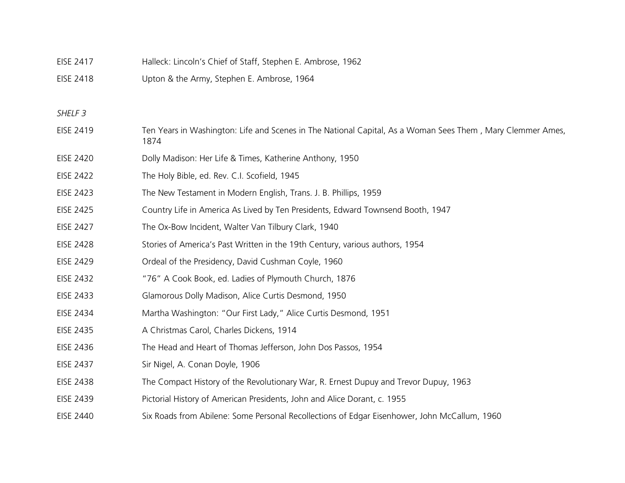| <b>EISE 2417</b>   | Halleck: Lincoln's Chief of Staff, Stephen E. Ambrose, 1962                                                        |
|--------------------|--------------------------------------------------------------------------------------------------------------------|
| <b>EISE 2418</b>   | Upton & the Army, Stephen E. Ambrose, 1964                                                                         |
|                    |                                                                                                                    |
| SHELF <sub>3</sub> |                                                                                                                    |
| <b>EISE 2419</b>   | Ten Years in Washington: Life and Scenes in The National Capital, As a Woman Sees Them, Mary Clemmer Ames,<br>1874 |
| <b>EISE 2420</b>   | Dolly Madison: Her Life & Times, Katherine Anthony, 1950                                                           |
| <b>EISE 2422</b>   | The Holy Bible, ed. Rev. C.I. Scofield, 1945                                                                       |
| <b>EISE 2423</b>   | The New Testament in Modern English, Trans. J. B. Phillips, 1959                                                   |
| <b>EISE 2425</b>   | Country Life in America As Lived by Ten Presidents, Edward Townsend Booth, 1947                                    |
| <b>EISE 2427</b>   | The Ox-Bow Incident, Walter Van Tilbury Clark, 1940                                                                |
| <b>EISE 2428</b>   | Stories of America's Past Written in the 19th Century, various authors, 1954                                       |
| <b>EISE 2429</b>   | Ordeal of the Presidency, David Cushman Coyle, 1960                                                                |
| <b>EISE 2432</b>   | "76" A Cook Book, ed. Ladies of Plymouth Church, 1876                                                              |
| <b>EISE 2433</b>   | Glamorous Dolly Madison, Alice Curtis Desmond, 1950                                                                |
| <b>EISE 2434</b>   | Martha Washington: "Our First Lady," Alice Curtis Desmond, 1951                                                    |
| <b>EISE 2435</b>   | A Christmas Carol, Charles Dickens, 1914                                                                           |
| <b>EISE 2436</b>   | The Head and Heart of Thomas Jefferson, John Dos Passos, 1954                                                      |
| <b>EISE 2437</b>   | Sir Nigel, A. Conan Doyle, 1906                                                                                    |
| <b>EISE 2438</b>   | The Compact History of the Revolutionary War, R. Ernest Dupuy and Trevor Dupuy, 1963                               |
| <b>EISE 2439</b>   | Pictorial History of American Presidents, John and Alice Dorant, c. 1955                                           |
| <b>EISE 2440</b>   | Six Roads from Abilene: Some Personal Recollections of Edgar Eisenhower, John McCallum, 1960                       |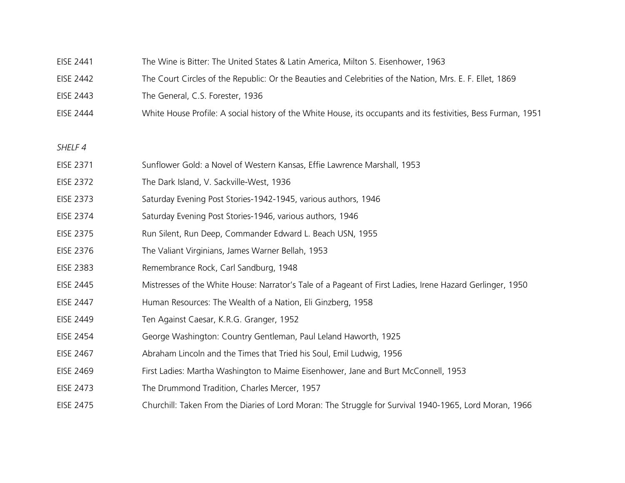- EISE 2441 The Wine is Bitter: The United States & Latin America, Milton S. Eisenhower, 1963
- EISE 2442 The Court Circles of the Republic: Or the Beauties and Celebrities of the Nation, Mrs. E. F. Ellet, 1869
- EISE 2443 The General, C.S. Forester, 1936
- EISE 2444 White House Profile: A social history of the White House, its occupants and its festivities, Bess Furman, 1951
- *SHELF 4*
- EISE 2371 Sunflower Gold: a Novel of Western Kansas, Effie Lawrence Marshall, 1953
- EISE 2372 The Dark Island, V. Sackville-West, 1936
- EISE 2373 Saturday Evening Post Stories-1942-1945, various authors, 1946
- EISE 2374 Saturday Evening Post Stories-1946, various authors, 1946
- EISE 2375 Run Silent, Run Deep, Commander Edward L. Beach USN, 1955
- EISE 2376 The Valiant Virginians, James Warner Bellah, 1953
- EISE 2383 Remembrance Rock, Carl Sandburg, 1948
- EISE 2445 Mistresses of the White House: Narrator's Tale of a Pageant of First Ladies, Irene Hazard Gerlinger, 1950
- EISE 2447 Human Resources: The Wealth of a Nation, Eli Ginzberg, 1958
- EISE 2449 Ten Against Caesar, K.R.G. Granger, 1952
- EISE 2454 George Washington: Country Gentleman, Paul Leland Haworth, 1925
- EISE 2467 Abraham Lincoln and the Times that Tried his Soul, Emil Ludwig, 1956
- EISE 2469 First Ladies: Martha Washington to Maime Eisenhower, Jane and Burt McConnell, 1953
- EISE 2473 The Drummond Tradition, Charles Mercer, 1957
- EISE 2475 Churchill: Taken From the Diaries of Lord Moran: The Struggle for Survival 1940-1965, Lord Moran, 1966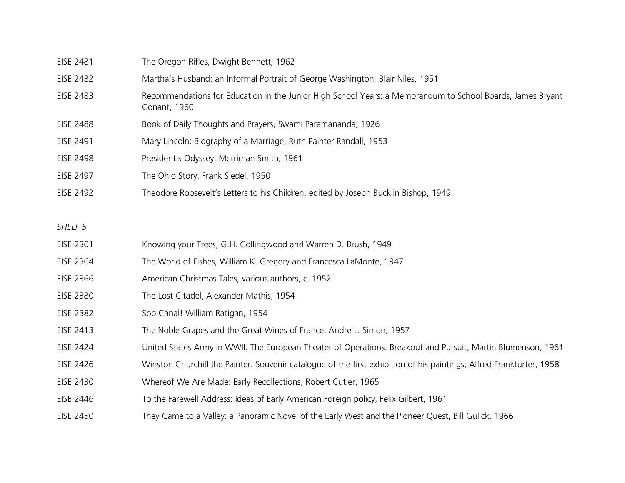| EISE 2481          | The Oregon Rifles, Dwight Bennett, 1962                                                                                    |
|--------------------|----------------------------------------------------------------------------------------------------------------------------|
| <b>EISE 2482</b>   | Martha's Husband: an Informal Portrait of George Washington, Blair Niles, 1951                                             |
| <b>EISE 2483</b>   | Recommendations for Education in the Junior High School Years: a Memorandum to School Boards, James Bryant<br>Conant, 1960 |
| <b>EISE 2488</b>   | Book of Daily Thoughts and Prayers, Swami Paramananda, 1926                                                                |
| EISE 2491          | Mary Lincoln: Biography of a Marriage, Ruth Painter Randall, 1953                                                          |
| <b>EISE 2498</b>   | President's Odyssey, Merriman Smith, 1961                                                                                  |
| EISE 2497          | The Ohio Story, Frank Siedel, 1950                                                                                         |
| <b>EISE 2492</b>   | Theodore Roosevelt's Letters to his Children, edited by Joseph Bucklin Bishop, 1949                                        |
|                    |                                                                                                                            |
| SHELF <sub>5</sub> |                                                                                                                            |
| EISE 2361          | Knowing your Trees, G.H. Collingwood and Warren D. Brush, 1949                                                             |
| <b>EISE 2364</b>   | The World of Fishes, William K. Gregory and Francesca LaMonte, 1947                                                        |
| <b>EISE 2366</b>   | American Christmas Tales, various authors, c. 1952                                                                         |
| <b>EISE 2380</b>   | The Lost Citadel, Alexander Mathis, 1954                                                                                   |
| <b>EISE 2382</b>   | Soo Canal! William Ratigan, 1954                                                                                           |
| EISE 2413          | The Noble Grapes and the Great Wines of France, Andre L. Simon, 1957                                                       |
| EISE 2424          | United States Army in WWII: The European Theater of Operations: Breakout and Pursuit, Martin Blumenson, 1961               |
| EISE 2426          | Winston Churchill the Painter: Souvenir catalogue of the first exhibition of his paintings, Alfred Frankfurter, 1958       |
| <b>EISE 2430</b>   | Whereof We Are Made: Early Recollections, Robert Cutler, 1965                                                              |
| EISE 2446          | To the Farewell Address: Ideas of Early American Foreign policy, Felix Gilbert, 1961                                       |
| <b>EISE 2450</b>   | They Came to a Valley: a Panoramic Novel of the Early West and the Pioneer Quest, Bill Gulick, 1966                        |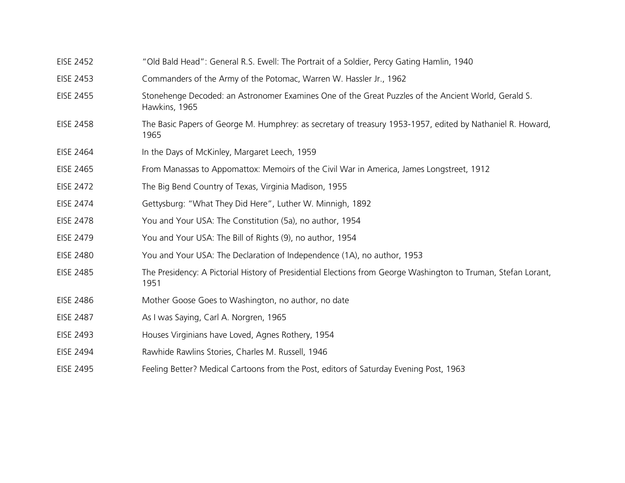| <b>EISE 2452</b> | "Old Bald Head": General R.S. Ewell: The Portrait of a Soldier, Percy Gating Hamlin, 1940                              |
|------------------|------------------------------------------------------------------------------------------------------------------------|
| <b>EISE 2453</b> | Commanders of the Army of the Potomac, Warren W. Hassler Jr., 1962                                                     |
| <b>EISE 2455</b> | Stonehenge Decoded: an Astronomer Examines One of the Great Puzzles of the Ancient World, Gerald S.<br>Hawkins, 1965   |
| <b>EISE 2458</b> | The Basic Papers of George M. Humphrey: as secretary of treasury 1953-1957, edited by Nathaniel R. Howard,<br>1965     |
| EISE 2464        | In the Days of McKinley, Margaret Leech, 1959                                                                          |
| EISE 2465        | From Manassas to Appomattox: Memoirs of the Civil War in America, James Longstreet, 1912                               |
| <b>EISE 2472</b> | The Big Bend Country of Texas, Virginia Madison, 1955                                                                  |
| <b>EISE 2474</b> | Gettysburg: "What They Did Here", Luther W. Minnigh, 1892                                                              |
| <b>EISE 2478</b> | You and Your USA: The Constitution (5a), no author, 1954                                                               |
| EISE 2479        | You and Your USA: The Bill of Rights (9), no author, 1954                                                              |
| <b>EISE 2480</b> | You and Your USA: The Declaration of Independence (1A), no author, 1953                                                |
| <b>EISE 2485</b> | The Presidency: A Pictorial History of Presidential Elections from George Washington to Truman, Stefan Lorant,<br>1951 |
| <b>EISE 2486</b> | Mother Goose Goes to Washington, no author, no date                                                                    |
| <b>EISE 2487</b> | As I was Saying, Carl A. Norgren, 1965                                                                                 |
| <b>EISE 2493</b> | Houses Virginians have Loved, Agnes Rothery, 1954                                                                      |
| EISE 2494        | Rawhide Rawlins Stories, Charles M. Russell, 1946                                                                      |
| <b>EISE 2495</b> | Feeling Better? Medical Cartoons from the Post, editors of Saturday Evening Post, 1963                                 |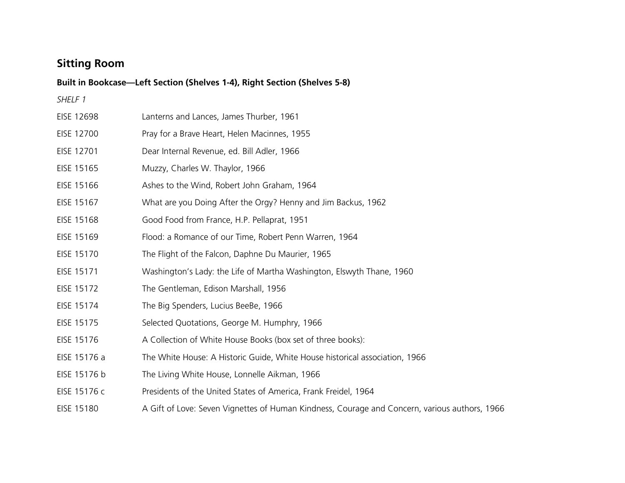# **Sitting Room**

|                   | Built in Bookcase-Left Section (Shelves 1-4), Right Section (Shelves 5-8)                     |  |  |
|-------------------|-----------------------------------------------------------------------------------------------|--|--|
| SHELF 1           |                                                                                               |  |  |
| <b>EISE 12698</b> | Lanterns and Lances, James Thurber, 1961                                                      |  |  |
| EISE 12700        | Pray for a Brave Heart, Helen Macinnes, 1955                                                  |  |  |
| EISE 12701        | Dear Internal Revenue, ed. Bill Adler, 1966                                                   |  |  |
| EISE 15165        | Muzzy, Charles W. Thaylor, 1966                                                               |  |  |
| EISE 15166        | Ashes to the Wind, Robert John Graham, 1964                                                   |  |  |
| EISE 15167        | What are you Doing After the Orgy? Henny and Jim Backus, 1962                                 |  |  |
| EISE 15168        | Good Food from France, H.P. Pellaprat, 1951                                                   |  |  |
| EISE 15169        | Flood: a Romance of our Time, Robert Penn Warren, 1964                                        |  |  |
| EISE 15170        | The Flight of the Falcon, Daphne Du Maurier, 1965                                             |  |  |
| EISE 15171        | Washington's Lady: the Life of Martha Washington, Elswyth Thane, 1960                         |  |  |
| EISE 15172        | The Gentleman, Edison Marshall, 1956                                                          |  |  |
| EISE 15174        | The Big Spenders, Lucius BeeBe, 1966                                                          |  |  |
| EISE 15175        | Selected Quotations, George M. Humphry, 1966                                                  |  |  |
| EISE 15176        | A Collection of White House Books (box set of three books):                                   |  |  |
| EISE 15176 a      | The White House: A Historic Guide, White House historical association, 1966                   |  |  |
| EISE 15176 b      | The Living White House, Lonnelle Aikman, 1966                                                 |  |  |
| EISE 15176 c      | Presidents of the United States of America, Frank Freidel, 1964                               |  |  |
| EISE 15180        | A Gift of Love: Seven Vignettes of Human Kindness, Courage and Concern, various authors, 1966 |  |  |
|                   |                                                                                               |  |  |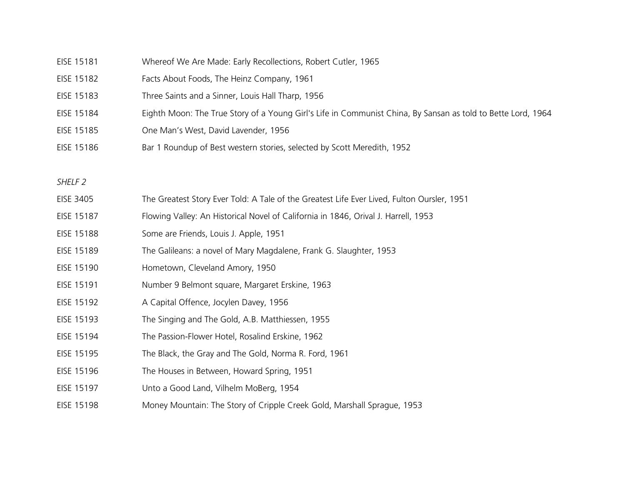| EISE 15181 | Whereof We Are Made: Early Recollections, Robert Cutler, 1965                                                |
|------------|--------------------------------------------------------------------------------------------------------------|
| EISE 15182 | Facts About Foods, The Heinz Company, 1961                                                                   |
| EISE 15183 | Three Saints and a Sinner, Louis Hall Tharp, 1956                                                            |
| EISE 15184 | Eighth Moon: The True Story of a Young Girl's Life in Communist China, By Sansan as told to Bette Lord, 1964 |
| EISE 15185 | One Man's West, David Lavender, 1956                                                                         |
| EISE 15186 | Bar 1 Roundup of Best western stories, selected by Scott Meredith, 1952                                      |
|            |                                                                                                              |

- EISE 3405 The Greatest Story Ever Told: A Tale of the Greatest Life Ever Lived, Fulton Oursler, 1951
- EISE 15187 Flowing Valley: An Historical Novel of California in 1846, Orival J. Harrell, 1953
- EISE 15188 Some are Friends, Louis J. Apple, 1951
- EISE 15189 The Galileans: a novel of Mary Magdalene, Frank G. Slaughter, 1953
- EISE 15190 Hometown, Cleveland Amory, 1950
- EISE 15191 Number 9 Belmont square, Margaret Erskine, 1963
- EISE 15192 A Capital Offence, Jocylen Davey, 1956
- EISE 15193 The Singing and The Gold, A.B. Matthiessen, 1955
- EISE 15194 The Passion-Flower Hotel, Rosalind Erskine, 1962
- EISE 15195 The Black, the Gray and The Gold, Norma R. Ford, 1961
- EISE 15196 The Houses in Between, Howard Spring, 1951
- EISE 15197 Unto a Good Land, Vilhelm MoBerg, 1954
- EISE 15198 Money Mountain: The Story of Cripple Creek Gold, Marshall Sprague, 1953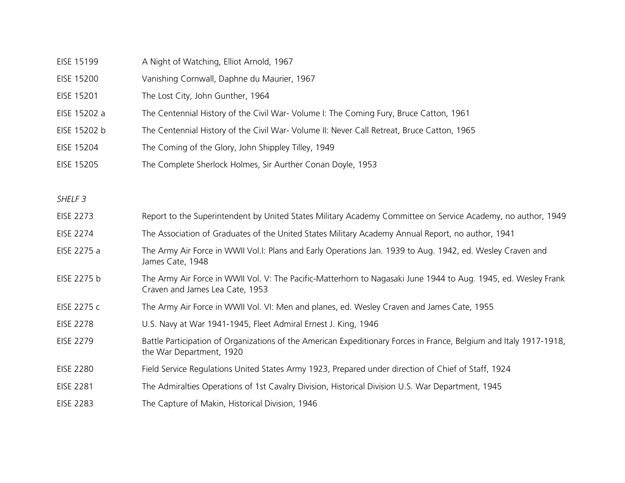| EISE 15199         | A Night of Watching, Elliot Arnold, 1967                                                                                                          |
|--------------------|---------------------------------------------------------------------------------------------------------------------------------------------------|
| <b>EISE 15200</b>  | Vanishing Cornwall, Daphne du Maurier, 1967                                                                                                       |
| EISE 15201         | The Lost City, John Gunther, 1964                                                                                                                 |
| EISE 15202 a       | The Centennial History of the Civil War- Volume I: The Coming Fury, Bruce Catton, 1961                                                            |
| EISE 15202 b       | The Centennial History of the Civil War- Volume II: Never Call Retreat, Bruce Catton, 1965                                                        |
| EISE 15204         | The Coming of the Glory, John Shippley Tilley, 1949                                                                                               |
| EISE 15205         | The Complete Sherlock Holmes, Sir Aurther Conan Doyle, 1953                                                                                       |
|                    |                                                                                                                                                   |
| SHELF <sub>3</sub> |                                                                                                                                                   |
| <b>EISE 2273</b>   | Report to the Superintendent by United States Military Academy Committee on Service Academy, no author, 1949                                      |
| <b>EISE 2274</b>   | The Association of Graduates of the United States Military Academy Annual Report, no author, 1941                                                 |
| EISE 2275 a        | The Army Air Force in WWII Vol.I: Plans and Early Operations Jan. 1939 to Aug. 1942, ed. Wesley Craven and<br>James Cate, 1948                    |
| EISE 2275 b        | The Army Air Force in WWII Vol. V: The Pacific-Matterhorn to Nagasaki June 1944 to Aug. 1945, ed. Wesley Frank<br>Craven and James Lea Cate, 1953 |
| EISE 2275 c        | The Army Air Force in WWII Vol. VI: Men and planes, ed. Wesley Craven and James Cate, 1955                                                        |
| <b>EISE 2278</b>   | U.S. Navy at War 1941-1945, Fleet Admiral Ernest J. King, 1946                                                                                    |
| <b>EISE 2279</b>   | Battle Participation of Organizations of the American Expeditionary Forces in France, Belgium and Italy 1917-1918,<br>the War Department, 1920    |
| <b>EISE 2280</b>   | Field Service Regulations United States Army 1923, Prepared under direction of Chief of Staff, 1924                                               |
| <b>EISE 2281</b>   | The Admiralties Operations of 1st Cavalry Division, Historical Division U.S. War Department, 1945                                                 |
| <b>EISE 2283</b>   | The Capture of Makin, Historical Division, 1946                                                                                                   |
|                    |                                                                                                                                                   |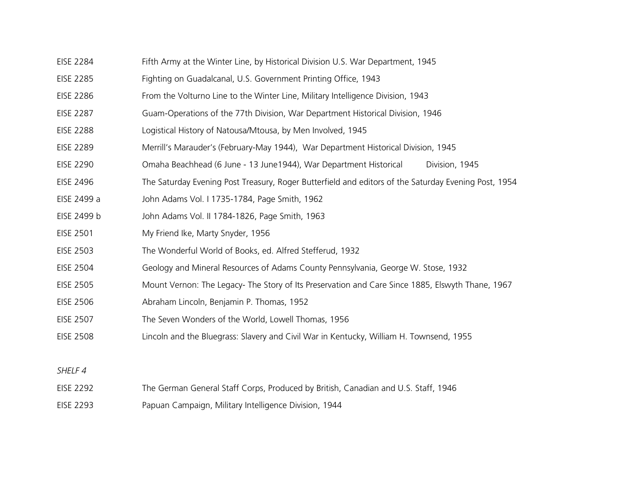- EISE 2284 Fifth Army at the Winter Line, by Historical Division U.S. War Department, 1945
- EISE 2285 Fighting on Guadalcanal, U.S. Government Printing Office, 1943
- EISE 2286 From the Volturno Line to the Winter Line, Military Intelligence Division, 1943
- EISE 2287 Guam-Operations of the 77th Division, War Department Historical Division, 1946
- EISE 2288 Logistical History of Natousa/Mtousa, by Men Involved, 1945
- EISE 2289 Merrill's Marauder's (February-May 1944), War Department Historical Division, 1945
- EISE 2290 Omaha Beachhead (6 June 13 June1944), War Department Historical Division, 1945
- EISE 2496 The Saturday Evening Post Treasury, Roger Butterfield and editors of the Saturday Evening Post, 1954
- EISE 2499 a John Adams Vol. I 1735-1784, Page Smith, 1962
- EISE 2499 b John Adams Vol. II 1784-1826, Page Smith, 1963
- EISE 2501 My Friend Ike, Marty Snyder, 1956
- EISE 2503 The Wonderful World of Books, ed. Alfred Stefferud, 1932
- EISE 2504 Geology and Mineral Resources of Adams County Pennsylvania, George W. Stose, 1932
- EISE 2505 Mount Vernon: The Legacy- The Story of Its Preservation and Care Since 1885, Elswyth Thane, 1967
- EISE 2506 Abraham Lincoln, Benjamin P. Thomas, 1952
- EISE 2507 The Seven Wonders of the World, Lowell Thomas, 1956
- EISE 2508 Lincoln and the Bluegrass: Slavery and Civil War in Kentucky, William H. Townsend, 1955

- EISE 2292 The German General Staff Corps, Produced by British, Canadian and U.S. Staff, 1946
- EISE 2293 Papuan Campaign, Military Intelligence Division, 1944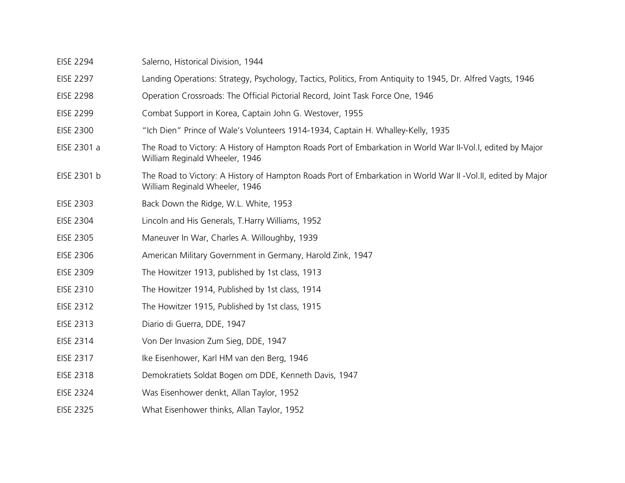| Salerno, Historical Division, 1944                                                                                                             |
|------------------------------------------------------------------------------------------------------------------------------------------------|
| Landing Operations: Strategy, Psychology, Tactics, Politics, From Antiquity to 1945, Dr. Alfred Vagts, 1946                                    |
| Operation Crossroads: The Official Pictorial Record, Joint Task Force One, 1946                                                                |
| Combat Support in Korea, Captain John G. Westover, 1955                                                                                        |
| "Ich Dien" Prince of Wale's Volunteers 1914-1934, Captain H. Whalley-Kelly, 1935                                                               |
| The Road to Victory: A History of Hampton Roads Port of Embarkation in World War II-Vol.I, edited by Major<br>William Reginald Wheeler, 1946   |
| The Road to Victory: A History of Hampton Roads Port of Embarkation in World War II -Vol.II, edited by Major<br>William Reginald Wheeler, 1946 |
| Back Down the Ridge, W.L. White, 1953                                                                                                          |
| Lincoln and His Generals, T. Harry Williams, 1952                                                                                              |
| Maneuver In War, Charles A. Willoughby, 1939                                                                                                   |
| American Military Government in Germany, Harold Zink, 1947                                                                                     |
| The Howitzer 1913, published by 1st class, 1913                                                                                                |
| The Howitzer 1914, Published by 1st class, 1914                                                                                                |
| The Howitzer 1915, Published by 1st class, 1915                                                                                                |
| Diario di Guerra, DDE, 1947                                                                                                                    |
| Von Der Invasion Zum Sieg, DDE, 1947                                                                                                           |
| Ike Eisenhower, Karl HM van den Berg, 1946                                                                                                     |
| Demokratiets Soldat Bogen om DDE, Kenneth Davis, 1947                                                                                          |
| Was Eisenhower denkt, Allan Taylor, 1952                                                                                                       |
| What Eisenhower thinks, Allan Taylor, 1952                                                                                                     |
|                                                                                                                                                |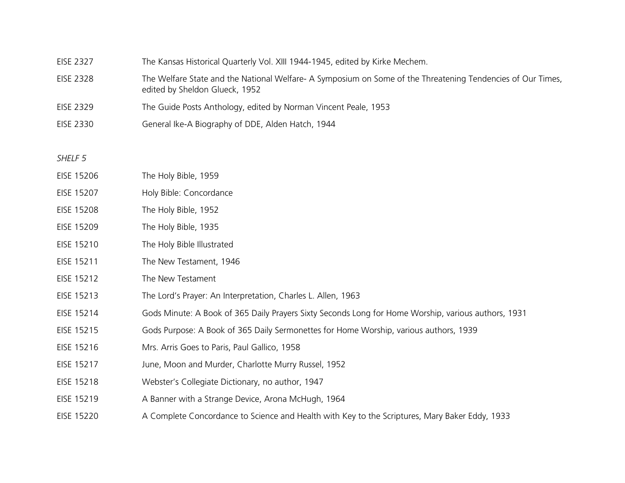### EISE 2327 The Kansas Historical Quarterly Vol. XIII 1944-1945, edited by Kirke Mechem.

- EISE 2328 The Welfare State and the National Welfare- A Symposium on Some of the Threatening Tendencies of Our Times, edited by Sheldon Glueck, 1952
- EISE 2329 The Guide Posts Anthology, edited by Norman Vincent Peale, 1953
- EISE 2330 General Ike-A Biography of DDE, Alden Hatch, 1944

- EISE 15206 The Holy Bible, 1959
- EISE 15207 Holy Bible: Concordance
- EISE 15208 The Holy Bible, 1952
- EISE 15209 The Holy Bible, 1935
- EISE 15210 The Holy Bible Illustrated
- EISE 15211 The New Testament, 1946
- EISE 15212 The New Testament
- EISE 15213 The Lord's Prayer: An Interpretation, Charles L. Allen, 1963
- EISE 15214 Gods Minute: A Book of 365 Daily Prayers Sixty Seconds Long for Home Worship, various authors, 1931
- EISE 15215 Gods Purpose: A Book of 365 Daily Sermonettes for Home Worship, various authors, 1939
- EISE 15216 Mrs. Arris Goes to Paris, Paul Gallico, 1958
- EISE 15217 June, Moon and Murder, Charlotte Murry Russel, 1952
- EISE 15218 Webster's Collegiate Dictionary, no author, 1947
- EISE 15219 A Banner with a Strange Device, Arona McHugh, 1964
- EISE 15220 A Complete Concordance to Science and Health with Key to the Scriptures, Mary Baker Eddy, 1933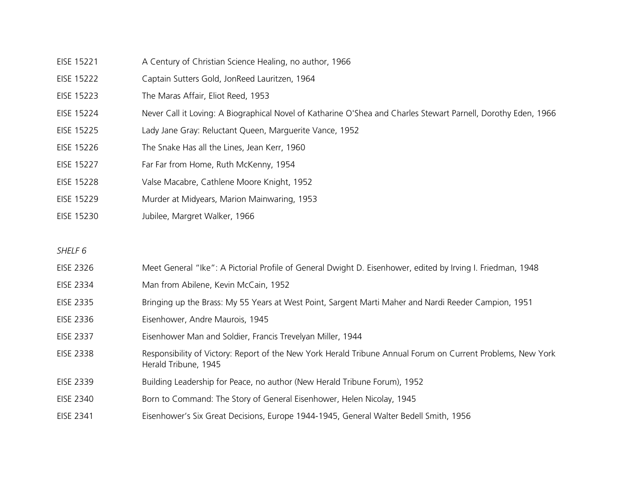- EISE 15221 A Century of Christian Science Healing, no author, 1966
- EISE 15222 Captain Sutters Gold, JonReed Lauritzen, 1964
- EISE 15223 The Maras Affair, Eliot Reed, 1953
- EISE 15224 Never Call it Loving: A Biographical Novel of Katharine O'Shea and Charles Stewart Parnell, Dorothy Eden, 1966
- EISE 15225 Lady Jane Gray: Reluctant Queen, Marguerite Vance, 1952
- EISE 15226 The Snake Has all the Lines, Jean Kerr, 1960
- EISE 15227 Far Far from Home, Ruth McKenny, 1954
- EISE 15228 Valse Macabre, Cathlene Moore Knight, 1952
- EISE 15229 Murder at Midyears, Marion Mainwaring, 1953
- EISE 15230 Jubilee, Margret Walker, 1966

- EISE 2326 Meet General "Ike": A Pictorial Profile of General Dwight D. Eisenhower, edited by Irving I. Friedman, 1948
- EISE 2334 Man from Abilene, Kevin McCain, 1952
- EISE 2335 Bringing up the Brass: My 55 Years at West Point, Sargent Marti Maher and Nardi Reeder Campion, 1951
- EISE 2336 Eisenhower, Andre Maurois, 1945
- EISE 2337 Eisenhower Man and Soldier, Francis Trevelyan Miller, 1944
- EISE 2338 Responsibility of Victory: Report of the New York Herald Tribune Annual Forum on Current Problems, New York Herald Tribune, 1945
- EISE 2339 Building Leadership for Peace, no author (New Herald Tribune Forum), 1952
- EISE 2340 Born to Command: The Story of General Eisenhower, Helen Nicolay, 1945
- EISE 2341 Eisenhower's Six Great Decisions, Europe 1944-1945, General Walter Bedell Smith, 1956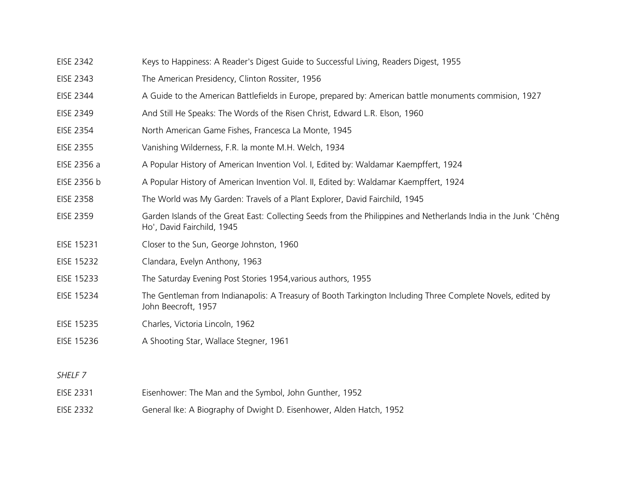| EISE 2342 |  |  | Keys to Happiness: A Reader's Digest Guide to Successful Living, Readers Digest, 1955 |  |
|-----------|--|--|---------------------------------------------------------------------------------------|--|
|-----------|--|--|---------------------------------------------------------------------------------------|--|

- EISE 2343 The American Presidency, Clinton Rossiter, 1956
- EISE 2344 A Guide to the American Battlefields in Europe, prepared by: American battle monuments commision, 1927
- EISE 2349 And Still He Speaks: The Words of the Risen Christ, Edward L.R. Elson, 1960
- EISE 2354 North American Game Fishes, Francesca La Monte, 1945
- EISE 2355 Vanishing Wilderness, F.R. la monte M.H. Welch, 1934
- EISE 2356 a A Popular History of American Invention Vol. I, Edited by: Waldamar Kaempffert, 1924
- EISE 2356 b A Popular History of American Invention Vol. II, Edited by: Waldamar Kaempffert, 1924
- EISE 2358 The World was My Garden: Travels of a Plant Explorer, David Fairchild, 1945
- EISE 2359 Garden Islands of the Great East: Collecting Seeds from the Philippines and Netherlands India in the Junk 'Chêng Ho', David Fairchild, 1945
- EISE 15231 Closer to the Sun, George Johnston, 1960
- EISE 15232 Clandara, Evelyn Anthony, 1963
- EISE 15233 The Saturday Evening Post Stories 1954,various authors, 1955
- EISE 15234 The Gentleman from Indianapolis: A Treasury of Booth Tarkington Including Three Complete Novels, edited by John Beecroft, 1957
- EISE 15235 Charles, Victoria Lincoln, 1962
- EISE 15236 A Shooting Star, Wallace Stegner, 1961

- EISE 2331 Eisenhower: The Man and the Symbol, John Gunther, 1952
- EISE 2332 General Ike: A Biography of Dwight D. Eisenhower, Alden Hatch, 1952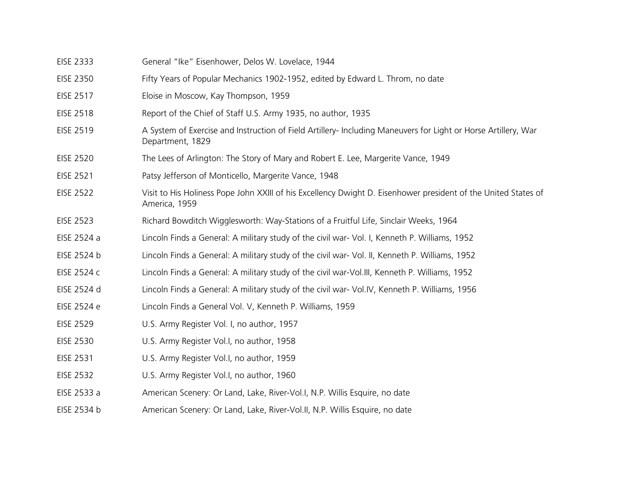| <b>EISE 2333</b> | General "Ike" Eisenhower, Delos W. Lovelace, 1944                                                                                  |
|------------------|------------------------------------------------------------------------------------------------------------------------------------|
| <b>EISE 2350</b> | Fifty Years of Popular Mechanics 1902-1952, edited by Edward L. Throm, no date                                                     |
| <b>EISE 2517</b> | Eloise in Moscow, Kay Thompson, 1959                                                                                               |
| <b>EISE 2518</b> | Report of the Chief of Staff U.S. Army 1935, no author, 1935                                                                       |
| <b>EISE 2519</b> | A System of Exercise and Instruction of Field Artillery- Including Maneuvers for Light or Horse Artillery, War<br>Department, 1829 |
| <b>EISE 2520</b> | The Lees of Arlington: The Story of Mary and Robert E. Lee, Margerite Vance, 1949                                                  |
| <b>EISE 2521</b> | Patsy Jefferson of Monticello, Margerite Vance, 1948                                                                               |
| <b>EISE 2522</b> | Visit to His Holiness Pope John XXIII of his Excellency Dwight D. Eisenhower president of the United States of<br>America, 1959    |
| <b>EISE 2523</b> | Richard Bowditch Wigglesworth: Way-Stations of a Fruitful Life, Sinclair Weeks, 1964                                               |
| EISE 2524 a      | Lincoln Finds a General: A military study of the civil war- Vol. I, Kenneth P. Williams, 1952                                      |
| EISE 2524 b      | Lincoln Finds a General: A military study of the civil war- Vol. II, Kenneth P. Williams, 1952                                     |
| EISE 2524 c      | Lincoln Finds a General: A military study of the civil war-Vol.III, Kenneth P. Williams, 1952                                      |
| EISE 2524 d      | Lincoln Finds a General: A military study of the civil war- Vol.IV, Kenneth P. Williams, 1956                                      |
| EISE 2524 e      | Lincoln Finds a General Vol. V, Kenneth P. Williams, 1959                                                                          |
| <b>EISE 2529</b> | U.S. Army Register Vol. I, no author, 1957                                                                                         |
| <b>EISE 2530</b> | U.S. Army Register Vol.I, no author, 1958                                                                                          |
| <b>EISE 2531</b> | U.S. Army Register Vol.I, no author, 1959                                                                                          |
| <b>EISE 2532</b> | U.S. Army Register Vol.I, no author, 1960                                                                                          |
| EISE 2533 a      | American Scenery: Or Land, Lake, River-Vol.I, N.P. Willis Esquire, no date                                                         |
| EISE 2534 b      | American Scenery: Or Land, Lake, River-Vol.II, N.P. Willis Esquire, no date                                                        |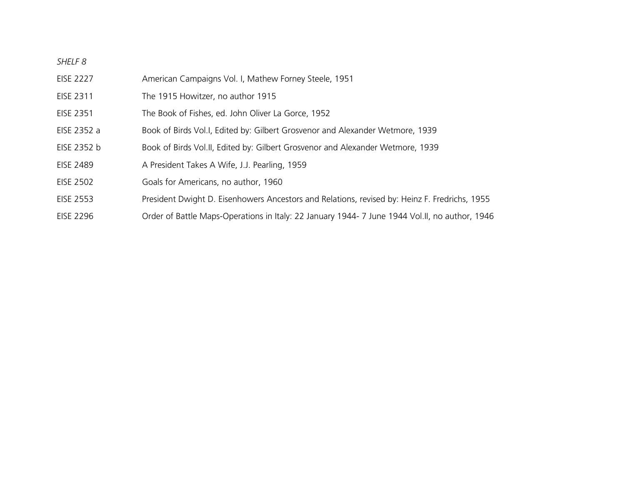- EISE 2227 American Campaigns Vol. I, Mathew Forney Steele, 1951
- EISE 2311 The 1915 Howitzer, no author 1915
- EISE 2351 The Book of Fishes, ed. John Oliver La Gorce, 1952
- EISE 2352 a Book of Birds Vol.I, Edited by: Gilbert Grosvenor and Alexander Wetmore, 1939
- EISE 2352 b Book of Birds Vol.II, Edited by: Gilbert Grosvenor and Alexander Wetmore, 1939
- EISE 2489 A President Takes A Wife, J.J. Pearling, 1959
- EISE 2502 Goals for Americans, no author, 1960
- EISE 2553 President Dwight D. Eisenhowers Ancestors and Relations, revised by: Heinz F. Fredrichs, 1955
- EISE 2296 Order of Battle Maps-Operations in Italy: 22 January 1944- 7 June 1944 Vol.II, no author, 1946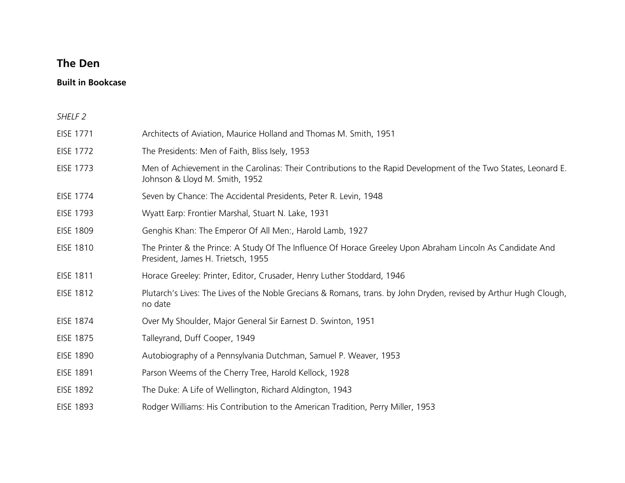## **The Den**

## **Built in Bookcase**

| SHELF <sub>2</sub> |                                                                                                                                                   |
|--------------------|---------------------------------------------------------------------------------------------------------------------------------------------------|
| EISE 1771          | Architects of Aviation, Maurice Holland and Thomas M. Smith, 1951                                                                                 |
| <b>EISE 1772</b>   | The Presidents: Men of Faith, Bliss Isely, 1953                                                                                                   |
| <b>EISE 1773</b>   | Men of Achievement in the Carolinas: Their Contributions to the Rapid Development of the Two States, Leonard E.<br>Johnson & Lloyd M. Smith, 1952 |
| EISE 1774          | Seven by Chance: The Accidental Presidents, Peter R. Levin, 1948                                                                                  |
| EISE 1793          | Wyatt Earp: Frontier Marshal, Stuart N. Lake, 1931                                                                                                |
| <b>EISE 1809</b>   | Genghis Khan: The Emperor Of All Men:, Harold Lamb, 1927                                                                                          |
| <b>EISE 1810</b>   | The Printer & the Prince: A Study Of The Influence Of Horace Greeley Upon Abraham Lincoln As Candidate And<br>President, James H. Trietsch, 1955  |
| <b>EISE 1811</b>   | Horace Greeley: Printer, Editor, Crusader, Henry Luther Stoddard, 1946                                                                            |
| <b>EISE 1812</b>   | Plutarch's Lives: The Lives of the Noble Grecians & Romans, trans. by John Dryden, revised by Arthur Hugh Clough,<br>no date                      |
| <b>EISE 1874</b>   | Over My Shoulder, Major General Sir Earnest D. Swinton, 1951                                                                                      |
| <b>EISE 1875</b>   | Talleyrand, Duff Cooper, 1949                                                                                                                     |
| <b>EISE 1890</b>   | Autobiography of a Pennsylvania Dutchman, Samuel P. Weaver, 1953                                                                                  |
| <b>EISE 1891</b>   | Parson Weems of the Cherry Tree, Harold Kellock, 1928                                                                                             |
| <b>EISE 1892</b>   | The Duke: A Life of Wellington, Richard Aldington, 1943                                                                                           |
| <b>EISE 1893</b>   | Rodger Williams: His Contribution to the American Tradition, Perry Miller, 1953                                                                   |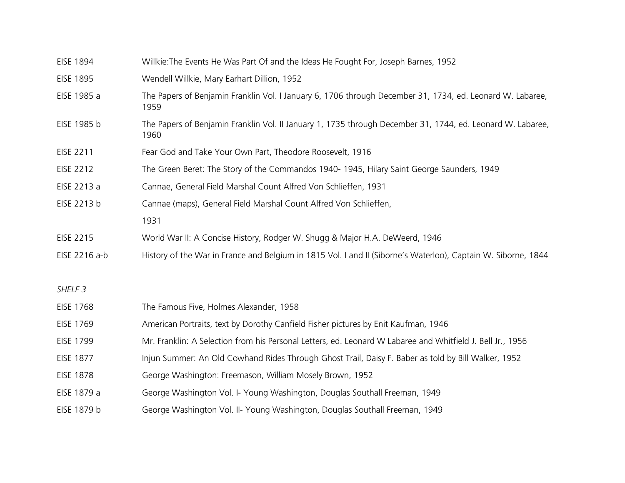| <b>EISE 1894</b>   | Willkie: The Events He Was Part Of and the Ideas He Fought For, Joseph Barnes, 1952                                |
|--------------------|--------------------------------------------------------------------------------------------------------------------|
| <b>EISE 1895</b>   | Wendell Willkie, Mary Earhart Dillion, 1952                                                                        |
| EISE 1985 a        | The Papers of Benjamin Franklin Vol. I January 6, 1706 through December 31, 1734, ed. Leonard W. Labaree,<br>1959  |
| EISE 1985 b        | The Papers of Benjamin Franklin Vol. II January 1, 1735 through December 31, 1744, ed. Leonard W. Labaree,<br>1960 |
| EISE 2211          | Fear God and Take Your Own Part, Theodore Roosevelt, 1916                                                          |
| EISE 2212          | The Green Beret: The Story of the Commandos 1940-1945, Hilary Saint George Saunders, 1949                          |
| EISE 2213 a        | Cannae, General Field Marshal Count Alfred Von Schlieffen, 1931                                                    |
| EISE 2213 b        | Cannae (maps), General Field Marshal Count Alfred Von Schlieffen,                                                  |
|                    | 1931                                                                                                               |
| EISE 2215          | World War II: A Concise History, Rodger W. Shugg & Major H.A. DeWeerd, 1946                                        |
| EISE 2216 a-b      | History of the War in France and Belgium in 1815 Vol. I and II (Siborne's Waterloo), Captain W. Siborne, 1844      |
|                    |                                                                                                                    |
| SHELF <sub>3</sub> |                                                                                                                    |
| <b>EISE 1768</b>   | The Famous Five, Holmes Alexander, 1958                                                                            |
| <b>EISE 1769</b>   | American Portraits, text by Dorothy Canfield Fisher pictures by Enit Kaufman, 1946                                 |
| <b>EISE 1799</b>   | Mr. Franklin: A Selection from his Personal Letters, ed. Leonard W Labaree and Whitfield J. Bell Jr., 1956         |
| <b>EISE 1877</b>   | Injun Summer: An Old Cowhand Rides Through Ghost Trail, Daisy F. Baber as told by Bill Walker, 1952                |
| <b>EISE 1878</b>   | George Washington: Freemason, William Mosely Brown, 1952                                                           |
| EISE 1879 a        | George Washington Vol. I- Young Washington, Douglas Southall Freeman, 1949                                         |
| EISE 1879 b        | George Washington Vol. II- Young Washington, Douglas Southall Freeman, 1949                                        |
|                    |                                                                                                                    |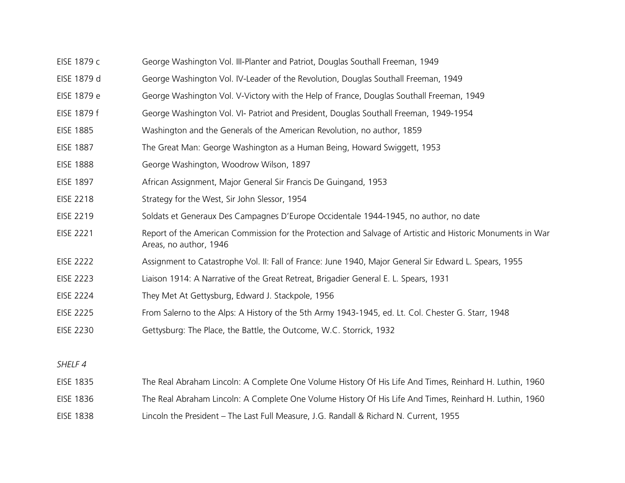- EISE 1879 c George Washington Vol. III-Planter and Patriot, Douglas Southall Freeman, 1949
- EISE 1879 d George Washington Vol. IV-Leader of the Revolution, Douglas Southall Freeman, 1949
- EISE 1879 e George Washington Vol. V-Victory with the Help of France, Douglas Southall Freeman, 1949
- EISE 1879 f George Washington Vol. VI- Patriot and President, Douglas Southall Freeman, 1949-1954
- EISE 1885 Washington and the Generals of the American Revolution, no author, 1859
- EISE 1887 The Great Man: George Washington as a Human Being, Howard Swiggett, 1953
- EISE 1888 George Washington, Woodrow Wilson, 1897
- EISE 1897 African Assignment, Major General Sir Francis De Guingand, 1953
- EISE 2218 Strategy for the West, Sir John Slessor, 1954
- EISE 2219 Soldats et Generaux Des Campagnes D'Europe Occidentale 1944-1945, no author, no date
- EISE 2221 Report of the American Commission for the Protection and Salvage of Artistic and Historic Monuments in War Areas, no author, 1946
- EISE 2222 Assignment to Catastrophe Vol. II: Fall of France: June 1940, Major General Sir Edward L. Spears, 1955
- EISE 2223 Liaison 1914: A Narrative of the Great Retreat, Brigadier General E. L. Spears, 1931
- EISE 2224 They Met At Gettysburg, Edward J. Stackpole, 1956
- EISE 2225 From Salerno to the Alps: A History of the 5th Army 1943-1945, ed. Lt. Col. Chester G. Starr, 1948
- EISE 2230 Gettysburg: The Place, the Battle, the Outcome, W.C. Storrick, 1932

- EISE 1835 The Real Abraham Lincoln: A Complete One Volume History Of His Life And Times, Reinhard H. Luthin, 1960
- EISE 1836 The Real Abraham Lincoln: A Complete One Volume History Of His Life And Times, Reinhard H. Luthin, 1960
- EISE 1838 Lincoln the President The Last Full Measure, J.G. Randall & Richard N. Current, 1955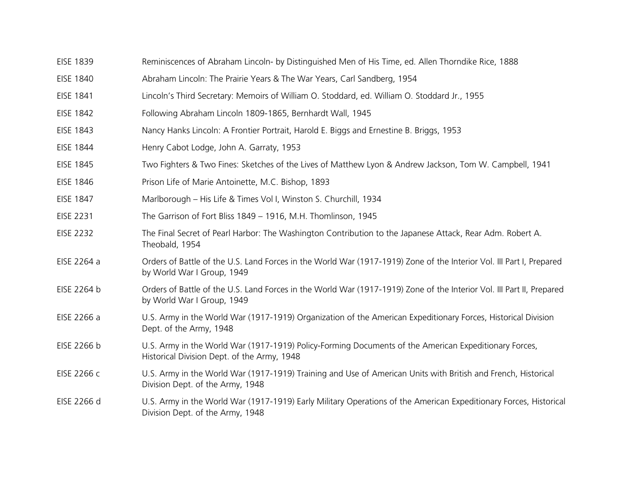- EISE 1839 Reminiscences of Abraham Lincoln- by Distinguished Men of His Time, ed. Allen Thorndike Rice, 1888
- EISE 1840 Abraham Lincoln: The Prairie Years & The War Years, Carl Sandberg, 1954
- EISE 1841 Lincoln's Third Secretary: Memoirs of William O. Stoddard, ed. William O. Stoddard Jr., 1955
- EISE 1842 Following Abraham Lincoln 1809-1865, Bernhardt Wall, 1945
- EISE 1843 Nancy Hanks Lincoln: A Frontier Portrait, Harold E. Biggs and Ernestine B. Briggs, 1953
- EISE 1844 Henry Cabot Lodge, John A. Garraty, 1953
- EISE 1845 Two Fighters & Two Fines: Sketches of the Lives of Matthew Lyon & Andrew Jackson, Tom W. Campbell, 1941
- EISE 1846 Prison Life of Marie Antoinette, M.C. Bishop, 1893
- EISE 1847 Marlborough His Life & Times Vol I, Winston S. Churchill, 1934
- EISE 2231 The Garrison of Fort Bliss 1849 1916, M.H. Thomlinson, 1945
- EISE 2232 The Final Secret of Pearl Harbor: The Washington Contribution to the Japanese Attack, Rear Adm. Robert A. Theobald, 1954
- EISE 2264 a Orders of Battle of the U.S. Land Forces in the World War (1917-1919) Zone of the Interior Vol. III Part I, Prepared by World War I Group, 1949
- EISE 2264 b Orders of Battle of the U.S. Land Forces in the World War (1917-1919) Zone of the Interior Vol. III Part II, Prepared by World War I Group, 1949
- EISE 2266 a U.S. Army in the World War (1917-1919) Organization of the American Expeditionary Forces, Historical Division Dept. of the Army, 1948
- EISE 2266 b U.S. Army in the World War (1917-1919) Policy-Forming Documents of the American Expeditionary Forces, Historical Division Dept. of the Army, 1948
- EISE 2266 c U.S. Army in the World War (1917-1919) Training and Use of American Units with British and French, Historical Division Dept. of the Army, 1948
- EISE 2266 d U.S. Army in the World War (1917-1919) Early Military Operations of the American Expeditionary Forces, Historical Division Dept. of the Army, 1948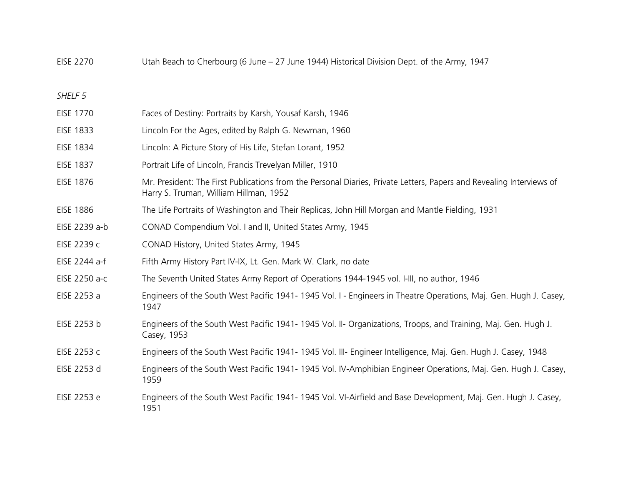EISE 2270 Utah Beach to Cherbourg (6 June – 27 June 1944) Historical Division Dept. of the Army, 1947

- EISE 1770 Faces of Destiny: Portraits by Karsh, Yousaf Karsh, 1946
- EISE 1833 Lincoln For the Ages, edited by Ralph G. Newman, 1960
- EISE 1834 Lincoln: A Picture Story of His Life, Stefan Lorant, 1952
- EISE 1837 Portrait Life of Lincoln, Francis Trevelyan Miller, 1910
- EISE 1876 Mr. President: The First Publications from the Personal Diaries, Private Letters, Papers and Revealing Interviews of Harry S. Truman, William Hillman, 1952
- EISE 1886 The Life Portraits of Washington and Their Replicas, John Hill Morgan and Mantle Fielding, 1931
- EISE 2239 a-b CONAD Compendium Vol. I and II, United States Army, 1945
- EISE 2239 c CONAD History, United States Army, 1945
- EISE 2244 a-f Fifth Army History Part IV-IX, Lt. Gen. Mark W. Clark, no date
- EISE 2250 a-c The Seventh United States Army Report of Operations 1944-1945 vol. I-III, no author, 1946
- EISE 2253 a Engineers of the South West Pacific 1941- 1945 Vol. I Engineers in Theatre Operations, Maj. Gen. Hugh J. Casey, 1947
- EISE 2253 b Engineers of the South West Pacific 1941- 1945 Vol. II- Organizations, Troops, and Training, Maj. Gen. Hugh J. Casey, 1953
- EISE 2253 c Engineers of the South West Pacific 1941- 1945 Vol. III- Engineer Intelligence, Maj. Gen. Hugh J. Casey, 1948
- EISE 2253 d Engineers of the South West Pacific 1941- 1945 Vol. IV-Amphibian Engineer Operations, Maj. Gen. Hugh J. Casey, 1959
- EISE 2253 e Engineers of the South West Pacific 1941- 1945 Vol. VI-Airfield and Base Development, Maj. Gen. Hugh J. Casey, 1951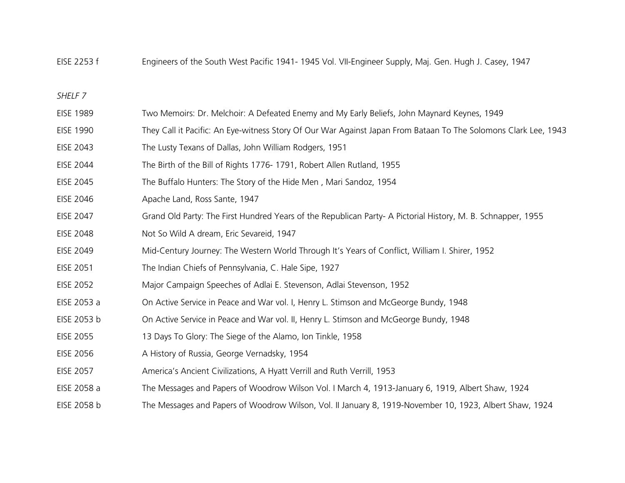EISE 2253 f Engineers of the South West Pacific 1941- 1945 Vol. VII-Engineer Supply, Maj. Gen. Hugh J. Casey, 1947

- EISE 1989 Two Memoirs: Dr. Melchoir: A Defeated Enemy and My Early Beliefs, John Maynard Keynes, 1949
- EISE 1990 They Call it Pacific: An Eye-witness Story Of Our War Against Japan From Bataan To The Solomons Clark Lee, 1943
- EISE 2043 The Lusty Texans of Dallas, John William Rodgers, 1951
- EISE 2044 The Birth of the Bill of Rights 1776- 1791, Robert Allen Rutland, 1955
- EISE 2045 The Buffalo Hunters: The Story of the Hide Men , Mari Sandoz, 1954
- EISE 2046 Apache Land, Ross Sante, 1947
- EISE 2047 Grand Old Party: The First Hundred Years of the Republican Party- A Pictorial History, M. B. Schnapper, 1955
- EISE 2048 Not So Wild A dream, Eric Sevareid, 1947
- EISE 2049 Mid-Century Journey: The Western World Through It's Years of Conflict, William I. Shirer, 1952
- EISE 2051 The Indian Chiefs of Pennsylvania, C. Hale Sipe, 1927
- EISE 2052 Major Campaign Speeches of Adlai E. Stevenson, Adlai Stevenson, 1952
- EISE 2053 a On Active Service in Peace and War vol. I, Henry L. Stimson and McGeorge Bundy, 1948
- EISE 2053 b On Active Service in Peace and War vol. II, Henry L. Stimson and McGeorge Bundy, 1948
- EISE 2055 13 Days To Glory: The Siege of the Alamo, Ion Tinkle, 1958
- EISE 2056 A History of Russia, George Vernadsky, 1954
- EISE 2057 America's Ancient Civilizations, A Hyatt Verrill and Ruth Verrill, 1953
- EISE 2058 a The Messages and Papers of Woodrow Wilson Vol. I March 4, 1913-January 6, 1919, Albert Shaw, 1924
- EISE 2058 b The Messages and Papers of Woodrow Wilson, Vol. II January 8, 1919-November 10, 1923, Albert Shaw, 1924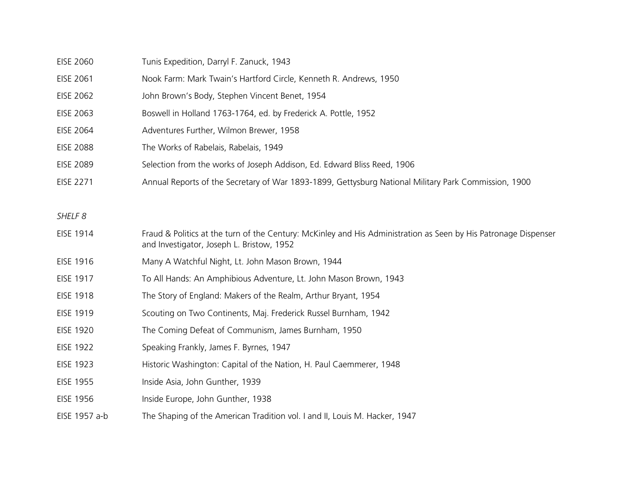| <b>EISE 2060</b> | Tunis Expedition, Darryl F. Zanuck, 1943                                                             |
|------------------|------------------------------------------------------------------------------------------------------|
| EISE 2061        | Nook Farm: Mark Twain's Hartford Circle, Kenneth R. Andrews, 1950                                    |
| EISE 2062        | John Brown's Body, Stephen Vincent Benet, 1954                                                       |
| EISE 2063        | Boswell in Holland 1763-1764, ed. by Frederick A. Pottle, 1952                                       |
| EISE 2064        | Adventures Further, Wilmon Brewer, 1958                                                              |
| <b>EISE 2088</b> | The Works of Rabelais, Rabelais, 1949                                                                |
| <b>EISE 2089</b> | Selection from the works of Joseph Addison, Ed. Edward Bliss Reed, 1906                              |
| <b>EISE 2271</b> | Annual Reports of the Secretary of War 1893-1899, Gettysburg National Military Park Commission, 1900 |
|                  |                                                                                                      |

- EISE 1914 Fraud & Politics at the turn of the Century: McKinley and His Administration as Seen by His Patronage Dispenser and Investigator, Joseph L. Bristow, 1952
- EISE 1916 Many A Watchful Night, Lt. John Mason Brown, 1944
- EISE 1917 To All Hands: An Amphibious Adventure, Lt. John Mason Brown, 1943
- EISE 1918 The Story of England: Makers of the Realm, Arthur Bryant, 1954
- EISE 1919 Scouting on Two Continents, Maj. Frederick Russel Burnham, 1942
- EISE 1920 The Coming Defeat of Communism, James Burnham, 1950
- EISE 1922 Speaking Frankly, James F. Byrnes, 1947
- EISE 1923 Historic Washington: Capital of the Nation, H. Paul Caemmerer, 1948
- EISE 1955 Inside Asia, John Gunther, 1939
- EISE 1956 Inside Europe, John Gunther, 1938
- EISE 1957 a-b The Shaping of the American Tradition vol. I and II, Louis M. Hacker, 1947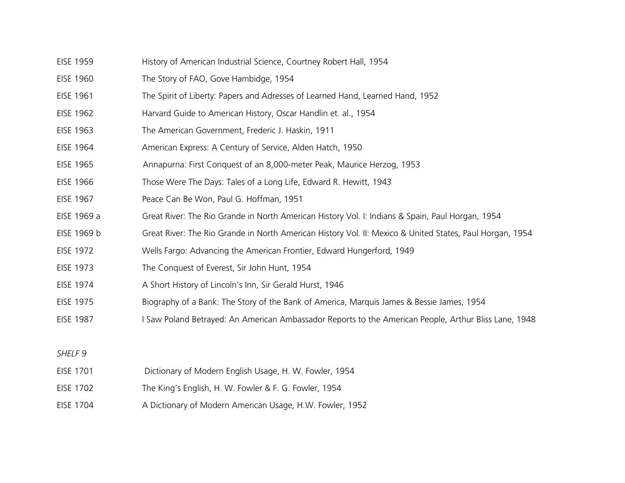- EISE 1959 History of American Industrial Science, Courtney Robert Hall, 1954
- EISE 1960 The Story of FAO, Gove Hambidge, 1954
- EISE 1961 The Spirit of Liberty: Papers and Adresses of Learned Hand, Learned Hand, 1952
- EISE 1962 Harvard Guide to American History, Oscar Handlin et. al., 1954
- EISE 1963 The American Government, Frederic J. Haskin, 1911
- EISE 1964 American Express: A Century of Service, Alden Hatch, 1950
- EISE 1965 Annapurna: First Conquest of an 8,000-meter Peak, Maurice Herzog, 1953
- EISE 1966 Those Were The Days: Tales of a Long Life, Edward R. Hewitt, 1943
- EISE 1967 Peace Can Be Won, Paul G. Hoffman, 1951
- EISE 1969 a Great River: The Rio Grande in North American History Vol. I: Indians & Spain, Paul Horgan, 1954
- EISE 1969 b Great River: The Rio Grande in North American History Vol. II: Mexico & United States, Paul Horgan, 1954
- EISE 1972 Wells Fargo: Advancing the American Frontier, Edward Hungerford, 1949
- EISE 1973 The Conquest of Everest, Sir John Hunt, 1954
- EISE 1974 A Short History of Lincoln's Inn, Sir Gerald Hurst, 1946
- EISE 1975 Biography of a Bank: The Story of the Bank of America, Marquis James & Bessie James, 1954
- EISE 1987 I Saw Poland Betrayed: An American Ambassador Reports to the American People, Arthur Bliss Lane, 1948

- EISE 1701 Dictionary of Modern English Usage, H. W. Fowler, 1954
- EISE 1702 The King's English, H. W. Fowler & F. G. Fowler, 1954
- EISE 1704 A Dictionary of Modern American Usage, H.W. Fowler, 1952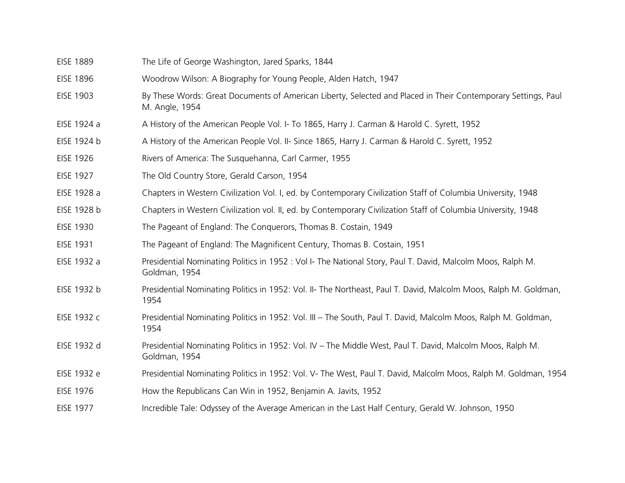| <b>EISE 1889</b> | The Life of George Washington, Jared Sparks, 1844                                                                               |
|------------------|---------------------------------------------------------------------------------------------------------------------------------|
| <b>EISE 1896</b> | Woodrow Wilson: A Biography for Young People, Alden Hatch, 1947                                                                 |
| <b>EISE 1903</b> | By These Words: Great Documents of American Liberty, Selected and Placed in Their Contemporary Settings, Paul<br>M. Angle, 1954 |
| EISE 1924 a      | A History of the American People Vol. I- To 1865, Harry J. Carman & Harold C. Syrett, 1952                                      |
| EISE 1924 b      | A History of the American People Vol. II- Since 1865, Harry J. Carman & Harold C. Syrett, 1952                                  |
| <b>EISE 1926</b> | Rivers of America: The Susquehanna, Carl Carmer, 1955                                                                           |
| <b>EISE 1927</b> | The Old Country Store, Gerald Carson, 1954                                                                                      |
| EISE 1928 a      | Chapters in Western Civilization Vol. I, ed. by Contemporary Civilization Staff of Columbia University, 1948                    |
| EISE 1928 b      | Chapters in Western Civilization vol. II, ed. by Contemporary Civilization Staff of Columbia University, 1948                   |
| <b>EISE 1930</b> | The Pageant of England: The Conquerors, Thomas B. Costain, 1949                                                                 |
| <b>EISE 1931</b> | The Pageant of England: The Magnificent Century, Thomas B. Costain, 1951                                                        |
| EISE 1932 a      | Presidential Nominating Politics in 1952 : Vol I- The National Story, Paul T. David, Malcolm Moos, Ralph M.<br>Goldman, 1954    |
| EISE 1932 b      | Presidential Nominating Politics in 1952: Vol. II- The Northeast, Paul T. David, Malcolm Moos, Ralph M. Goldman,<br>1954        |
| EISE 1932 c      | Presidential Nominating Politics in 1952: Vol. III – The South, Paul T. David, Malcolm Moos, Ralph M. Goldman,<br>1954          |
| EISE 1932 d      | Presidential Nominating Politics in 1952: Vol. IV - The Middle West, Paul T. David, Malcolm Moos, Ralph M.<br>Goldman, 1954     |
| EISE 1932 e      | Presidential Nominating Politics in 1952: Vol. V- The West, Paul T. David, Malcolm Moos, Ralph M. Goldman, 1954                 |
| <b>EISE 1976</b> | How the Republicans Can Win in 1952, Benjamin A. Javits, 1952                                                                   |
| <b>EISE 1977</b> | Incredible Tale: Odyssey of the Average American in the Last Half Century, Gerald W. Johnson, 1950                              |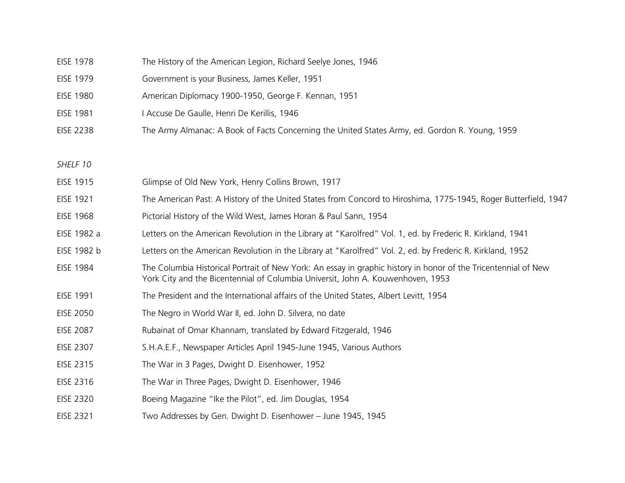| The History of the American Legion, Richard Seelye Jones, 1946<br><b>EISE 1978</b> |  |
|------------------------------------------------------------------------------------|--|
|------------------------------------------------------------------------------------|--|

- EISE 1979 Government is your Business, James Keller, 1951
- EISE 1980 American Diplomacy 1900-1950, George F. Kennan, 1951
- EISE 1981 I Accuse De Gaulle, Henri De Kerillis, 1946
- EISE 2238 The Army Almanac: A Book of Facts Concerning the United States Army, ed. Gordon R. Young, 1959

| EISE 1915        | Glimpse of Old New York, Henry Collins Brown, 1917                                                                                                                                                |
|------------------|---------------------------------------------------------------------------------------------------------------------------------------------------------------------------------------------------|
| EISE 1921        | The American Past: A History of the United States from Concord to Hiroshima, 1775-1945, Roger Butterfield, 1947                                                                                   |
| <b>EISE 1968</b> | Pictorial History of the Wild West, James Horan & Paul Sann, 1954                                                                                                                                 |
| EISE 1982 a      | Letters on the American Revolution in the Library at "Karolfred" Vol. 1, ed. by Frederic R. Kirkland, 1941                                                                                        |
| EISE 1982 b      | Letters on the American Revolution in the Library at "Karolfred" Vol. 2, ed. by Frederic R. Kirkland, 1952                                                                                        |
| <b>EISE 1984</b> | The Columbia Historical Portrait of New York: An essay in graphic history in honor of the Tricentennial of New<br>York City and the Bicentennial of Columbia Universit, John A. Kouwenhoven, 1953 |
| <b>EISE 1991</b> | The President and the International affairs of the United States, Albert Levitt, 1954                                                                                                             |
| <b>EISE 2050</b> | The Negro in World War II, ed. John D. Silvera, no date                                                                                                                                           |
| <b>EISE 2087</b> | Rubainat of Omar Khannam, translated by Edward Fitzgerald, 1946                                                                                                                                   |
| <b>EISE 2307</b> | S.H.A.E.F., Newspaper Articles April 1945-June 1945, Various Authors                                                                                                                              |
| EISE 2315        | The War in 3 Pages, Dwight D. Eisenhower, 1952                                                                                                                                                    |
| EISE 2316        | The War in Three Pages, Dwight D. Eisenhower, 1946                                                                                                                                                |
| <b>EISE 2320</b> | Boeing Magazine "Ike the Pilot", ed. Jim Douglas, 1954                                                                                                                                            |
| <b>EISE 2321</b> | Two Addresses by Gen. Dwight D. Eisenhower - June 1945, 1945                                                                                                                                      |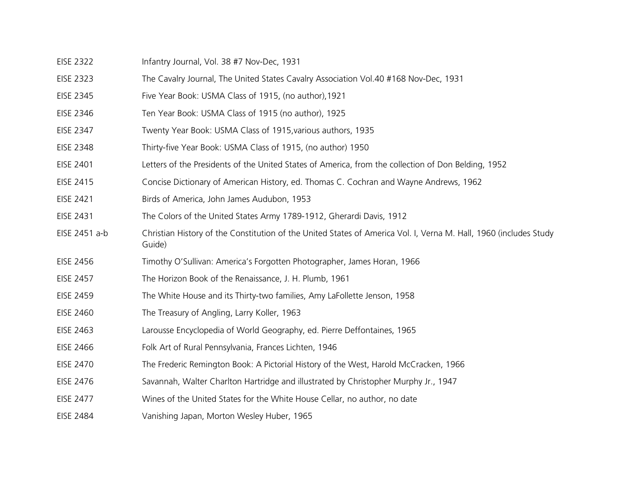- EISE 2322 Infantry Journal, Vol. 38 #7 Nov-Dec, 1931
- EISE 2323 The Cavalry Journal, The United States Cavalry Association Vol.40 #168 Nov-Dec, 1931
- EISE 2345 Five Year Book: USMA Class of 1915, (no author),1921
- EISE 2346 Ten Year Book: USMA Class of 1915 (no author), 1925
- EISE 2347 Twenty Year Book: USMA Class of 1915,various authors, 1935
- EISE 2348 Thirty-five Year Book: USMA Class of 1915, (no author) 1950
- EISE 2401 Letters of the Presidents of the United States of America, from the collection of Don Belding, 1952
- EISE 2415 Concise Dictionary of American History, ed. Thomas C. Cochran and Wayne Andrews, 1962
- EISE 2421 Birds of America, John James Audubon, 1953
- EISE 2431 The Colors of the United States Army 1789-1912, Gherardi Davis, 1912
- EISE 2451 a-b Christian History of the Constitution of the United States of America Vol. I, Verna M. Hall, 1960 (includes Study Guide)
- EISE 2456 Timothy O'Sullivan: America's Forgotten Photographer, James Horan, 1966
- EISE 2457 The Horizon Book of the Renaissance, J. H. Plumb, 1961
- EISE 2459 The White House and its Thirty-two families, Amy LaFollette Jenson, 1958
- EISE 2460 The Treasury of Angling, Larry Koller, 1963
- EISE 2463 Larousse Encyclopedia of World Geography, ed. Pierre Deffontaines, 1965
- EISE 2466 Folk Art of Rural Pennsylvania, Frances Lichten, 1946
- EISE 2470 The Frederic Remington Book: A Pictorial History of the West, Harold McCracken, 1966
- EISE 2476 Savannah, Walter Charlton Hartridge and illustrated by Christopher Murphy Jr., 1947
- EISE 2477 Wines of the United States for the White House Cellar, no author, no date
- EISE 2484 Vanishing Japan, Morton Wesley Huber, 1965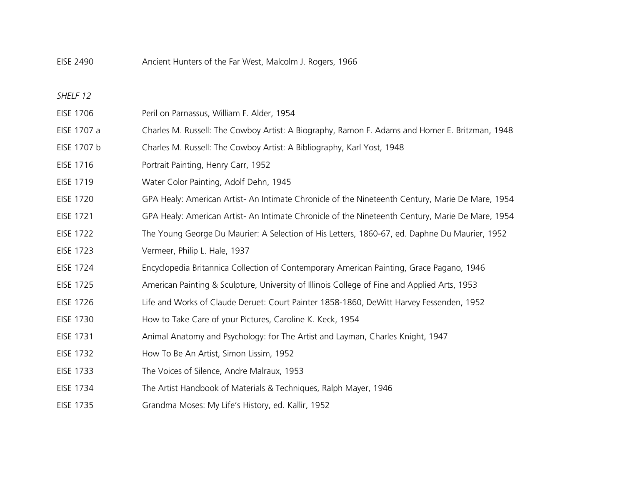EISE 2490 Ancient Hunters of the Far West, Malcolm J. Rogers, 1966

- *SHELF 12*
- EISE 1706 Peril on Parnassus, William F. Alder, 1954 EISE 1707 a Charles M. Russell: The Cowboy Artist: A Biography, Ramon F. Adams and Homer E. Britzman, 1948 EISE 1707 b Charles M. Russell: The Cowboy Artist: A Bibliography, Karl Yost, 1948
- EISE 1716 Portrait Painting, Henry Carr, 1952
- EISE 1719 Water Color Painting, Adolf Dehn, 1945
- EISE 1720 GPA Healy: American Artist- An Intimate Chronicle of the Nineteenth Century, Marie De Mare, 1954
- EISE 1721 GPA Healy: American Artist- An Intimate Chronicle of the Nineteenth Century, Marie De Mare, 1954
- EISE 1722 The Young George Du Maurier: A Selection of His Letters, 1860-67, ed. Daphne Du Maurier, 1952
- EISE 1723 Vermeer, Philip L. Hale, 1937
- EISE 1724 Encyclopedia Britannica Collection of Contemporary American Painting, Grace Pagano, 1946
- EISE 1725 American Painting & Sculpture, University of Illinois College of Fine and Applied Arts, 1953
- EISE 1726 Life and Works of Claude Deruet: Court Painter 1858-1860, DeWitt Harvey Fessenden, 1952
- EISE 1730 How to Take Care of your Pictures, Caroline K. Keck, 1954
- EISE 1731 Animal Anatomy and Psychology: for The Artist and Layman, Charles Knight, 1947
- EISE 1732 How To Be An Artist, Simon Lissim, 1952
- EISE 1733 The Voices of Silence, Andre Malraux, 1953
- EISE 1734 The Artist Handbook of Materials & Techniques, Ralph Mayer, 1946
- EISE 1735 Grandma Moses: My Life's History, ed. Kallir, 1952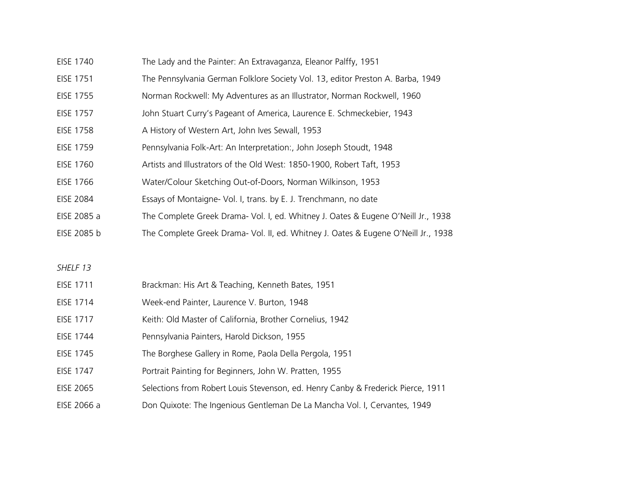- EISE 1740 The Lady and the Painter: An Extravaganza, Eleanor Palffy, 1951
- EISE 1751 The Pennsylvania German Folklore Society Vol. 13, editor Preston A. Barba, 1949
- EISE 1755 Norman Rockwell: My Adventures as an Illustrator, Norman Rockwell, 1960
- EISE 1757 John Stuart Curry's Pageant of America, Laurence E. Schmeckebier, 1943
- EISE 1758 A History of Western Art, John Ives Sewall, 1953
- EISE 1759 Pennsylvania Folk-Art: An Interpretation:, John Joseph Stoudt, 1948
- EISE 1760 Artists and Illustrators of the Old West: 1850-1900, Robert Taft, 1953
- EISE 1766 Water/Colour Sketching Out-of-Doors, Norman Wilkinson, 1953
- EISE 2084 Essays of Montaigne- Vol. I, trans. by E. J. Trenchmann, no date
- EISE 2085 a The Complete Greek Drama- Vol. I, ed. Whitney J. Oates & Eugene O'Neill Jr., 1938
- EISE 2085 b The Complete Greek Drama- Vol. II, ed. Whitney J. Oates & Eugene O'Neill Jr., 1938

| EISE 1711 | Brackman: His Art & Teaching, Kenneth Bates, 1951 |
|-----------|---------------------------------------------------|
| EISE 1714 | Week-end Painter, Laurence V. Burton, 1948        |

- EISE 1717 Keith: Old Master of California, Brother Cornelius, 1942
- EISE 1744 Pennsylvania Painters, Harold Dickson, 1955
- EISE 1745 The Borghese Gallery in Rome, Paola Della Pergola, 1951
- EISE 1747 Portrait Painting for Beginners, John W. Pratten, 1955
- EISE 2065 Selections from Robert Louis Stevenson, ed. Henry Canby & Frederick Pierce, 1911
- EISE 2066 a Don Quixote: The Ingenious Gentleman De La Mancha Vol. I, Cervantes, 1949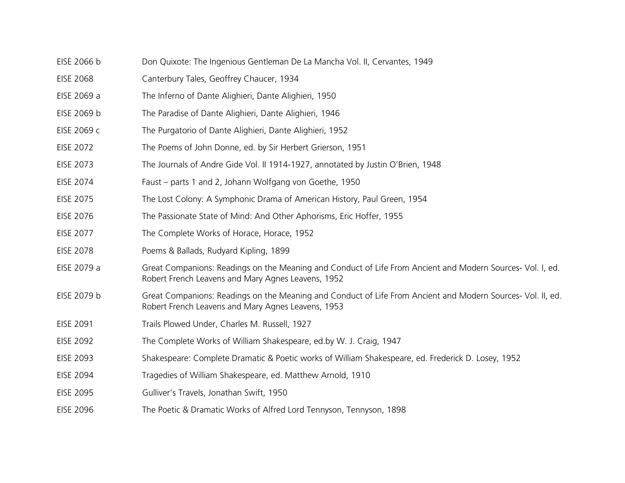- EISE 2066 b Don Quixote: The Ingenious Gentleman De La Mancha Vol. II, Cervantes, 1949
- EISE 2068 Canterbury Tales, Geoffrey Chaucer, 1934
- EISE 2069 a The Inferno of Dante Alighieri, Dante Alighieri, 1950
- EISE 2069 b The Paradise of Dante Alighieri, Dante Alighieri, 1946
- EISE 2069 c The Purgatorio of Dante Alighieri, Dante Alighieri, 1952
- EISE 2072 The Poems of John Donne, ed. by Sir Herbert Grierson, 1951
- EISE 2073 The Journals of Andre Gide Vol. II 1914-1927, annotated by Justin O'Brien, 1948
- EISE 2074 Faust parts 1 and 2, Johann Wolfgang von Goethe, 1950
- EISE 2075 The Lost Colony: A Symphonic Drama of American History, Paul Green, 1954
- EISE 2076 The Passionate State of Mind: And Other Aphorisms, Eric Hoffer, 1955
- EISE 2077 The Complete Works of Horace, Horace, 1952
- EISE 2078 Poems & Ballads, Rudyard Kipling, 1899
- EISE 2079 a Great Companions: Readings on the Meaning and Conduct of Life From Ancient and Modern Sources- Vol. I, ed. Robert French Leavens and Mary Agnes Leavens, 1952
- EISE 2079 b Great Companions: Readings on the Meaning and Conduct of Life From Ancient and Modern Sources- Vol. II, ed. Robert French Leavens and Mary Agnes Leavens, 1953
- EISE 2091 Trails Plowed Under, Charles M. Russell, 1927
- EISE 2092 The Complete Works of William Shakespeare, ed.by W. J. Craig, 1947
- EISE 2093 Shakespeare: Complete Dramatic & Poetic works of William Shakespeare, ed. Frederick D. Losey, 1952
- EISE 2094 Tragedies of William Shakespeare, ed. Matthew Arnold, 1910
- EISE 2095 Gulliver's Travels, Jonathan Swift, 1950
- EISE 2096 The Poetic & Dramatic Works of Alfred Lord Tennyson, Tennyson, 1898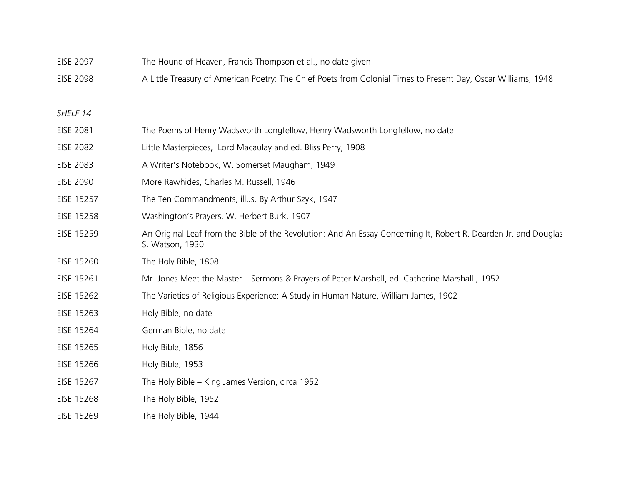- EISE 2097 The Hound of Heaven, Francis Thompson et al., no date given
- EISE 2098 A Little Treasury of American Poetry: The Chief Poets from Colonial Times to Present Day, Oscar Williams, 1948

- EISE 2081 The Poems of Henry Wadsworth Longfellow, Henry Wadsworth Longfellow, no date
- EISE 2082 Little Masterpieces, Lord Macaulay and ed. Bliss Perry, 1908
- EISE 2083 A Writer's Notebook, W. Somerset Maugham, 1949
- EISE 2090 More Rawhides, Charles M. Russell, 1946
- EISE 15257 The Ten Commandments, illus. By Arthur Szyk, 1947
- EISE 15258 Washington's Prayers, W. Herbert Burk, 1907
- EISE 15259 An Original Leaf from the Bible of the Revolution: And An Essay Concerning It, Robert R. Dearden Jr. and Douglas S. Watson, 1930
- EISE 15260 The Holy Bible, 1808
- EISE 15261 Mr. Jones Meet the Master Sermons & Prayers of Peter Marshall, ed. Catherine Marshall , 1952
- EISE 15262 The Varieties of Religious Experience: A Study in Human Nature, William James, 1902
- EISE 15263 Holy Bible, no date
- EISE 15264 German Bible, no date
- EISE 15265 Holy Bible, 1856
- EISE 15266 Holy Bible, 1953
- EISE 15267 The Holy Bible King James Version, circa 1952
- EISE 15268 The Holy Bible, 1952
- EISE 15269 The Holy Bible, 1944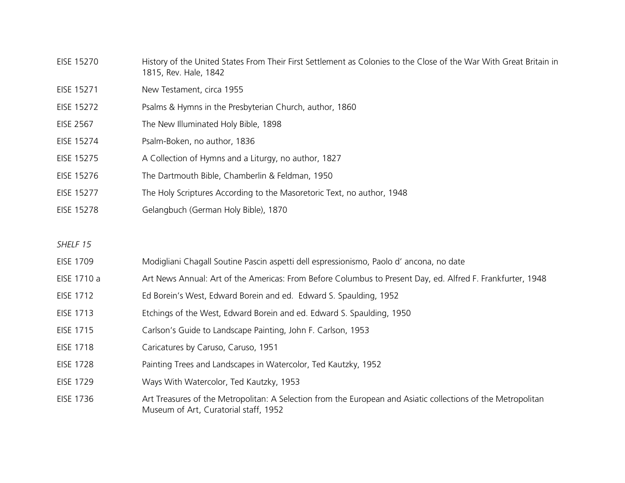| EISE 15270        | History of the United States From Their First Settlement as Colonies to the Close of the War With Great Britain in<br>1815, Rev. Hale, 1842 |
|-------------------|---------------------------------------------------------------------------------------------------------------------------------------------|
| EISE 15271        | New Testament, circa 1955                                                                                                                   |
| EISE 15272        | Psalms & Hymns in the Presbyterian Church, author, 1860                                                                                     |
| <b>EISE 2567</b>  | The New Illuminated Holy Bible, 1898                                                                                                        |
| EISE 15274        | Psalm-Boken, no author, 1836                                                                                                                |
| EISE 15275        | A Collection of Hymns and a Liturgy, no author, 1827                                                                                        |
| EISE 15276        | The Dartmouth Bible, Chamberlin & Feldman, 1950                                                                                             |
| EISE 15277        | The Holy Scriptures According to the Masoretoric Text, no author, 1948                                                                      |
| <b>EISE 15278</b> | Gelangbuch (German Holy Bible), 1870                                                                                                        |

- EISE 1709 Modigliani Chagall Soutine Pascin aspetti dell espressionismo, Paolo d' ancona, no date
- EISE 1710 a Art News Annual: Art of the Americas: From Before Columbus to Present Day, ed. Alfred F. Frankfurter, 1948
- EISE 1712 Ed Borein's West, Edward Borein and ed. Edward S. Spaulding, 1952
- EISE 1713 Etchings of the West, Edward Borein and ed. Edward S. Spaulding, 1950
- EISE 1715 Carlson's Guide to Landscape Painting, John F. Carlson, 1953
- EISE 1718 Caricatures by Caruso, Caruso, 1951
- EISE 1728 Painting Trees and Landscapes in Watercolor, Ted Kautzky, 1952
- EISE 1729 Ways With Watercolor, Ted Kautzky, 1953
- EISE 1736 Art Treasures of the Metropolitan: A Selection from the European and Asiatic collections of the Metropolitan Museum of Art, Curatorial staff, 1952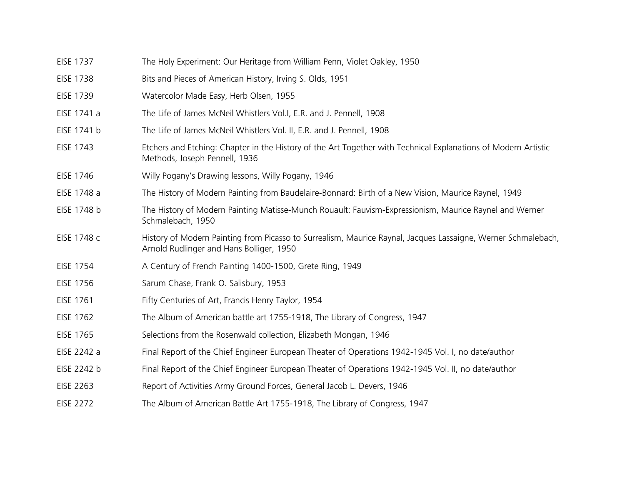| <b>EISE 1737</b> | The Holy Experiment: Our Heritage from William Penn, Violet Oakley, 1950                                                                                  |
|------------------|-----------------------------------------------------------------------------------------------------------------------------------------------------------|
| <b>EISE 1738</b> | Bits and Pieces of American History, Irving S. Olds, 1951                                                                                                 |
| <b>EISE 1739</b> | Watercolor Made Easy, Herb Olsen, 1955                                                                                                                    |
| EISE 1741 a      | The Life of James McNeil Whistlers Vol.I, E.R. and J. Pennell, 1908                                                                                       |
| EISE 1741 b      | The Life of James McNeil Whistlers Vol. II, E.R. and J. Pennell, 1908                                                                                     |
| <b>EISE 1743</b> | Etchers and Etching: Chapter in the History of the Art Together with Technical Explanations of Modern Artistic<br>Methods, Joseph Pennell, 1936           |
| <b>EISE 1746</b> | Willy Pogany's Drawing lessons, Willy Pogany, 1946                                                                                                        |
| EISE 1748 a      | The History of Modern Painting from Baudelaire-Bonnard: Birth of a New Vision, Maurice Raynel, 1949                                                       |
| EISE 1748 b      | The History of Modern Painting Matisse-Munch Rouault: Fauvism-Expressionism, Maurice Raynel and Werner<br>Schmalebach, 1950                               |
| EISE 1748 c      | History of Modern Painting from Picasso to Surrealism, Maurice Raynal, Jacques Lassaigne, Werner Schmalebach,<br>Arnold Rudlinger and Hans Bolliger, 1950 |
| <b>EISE 1754</b> | A Century of French Painting 1400-1500, Grete Ring, 1949                                                                                                  |
| <b>EISE 1756</b> | Sarum Chase, Frank O. Salisbury, 1953                                                                                                                     |
| <b>EISE 1761</b> | Fifty Centuries of Art, Francis Henry Taylor, 1954                                                                                                        |
| <b>EISE 1762</b> | The Album of American battle art 1755-1918, The Library of Congress, 1947                                                                                 |
| <b>EISE 1765</b> | Selections from the Rosenwald collection, Elizabeth Mongan, 1946                                                                                          |
| EISE 2242 a      | Final Report of the Chief Engineer European Theater of Operations 1942-1945 Vol. I, no date/author                                                        |
| EISE 2242 b      | Final Report of the Chief Engineer European Theater of Operations 1942-1945 Vol. II, no date/author                                                       |
| EISE 2263        | Report of Activities Army Ground Forces, General Jacob L. Devers, 1946                                                                                    |
| <b>EISE 2272</b> | The Album of American Battle Art 1755-1918, The Library of Congress, 1947                                                                                 |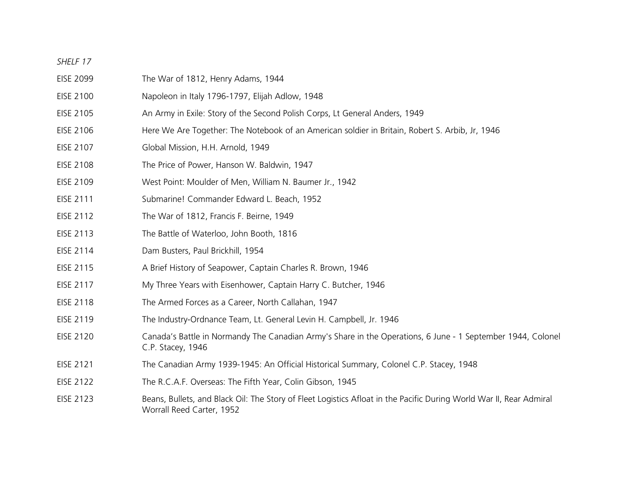- EISE 2099 The War of 1812, Henry Adams, 1944
- EISE 2100 Napoleon in Italy 1796-1797, Elijah Adlow, 1948
- EISE 2105 An Army in Exile: Story of the Second Polish Corps, Lt General Anders, 1949
- EISE 2106 Here We Are Together: The Notebook of an American soldier in Britain, Robert S. Arbib, Jr, 1946
- EISE 2107 Global Mission, H.H. Arnold, 1949
- EISE 2108 The Price of Power, Hanson W. Baldwin, 1947
- EISE 2109 West Point: Moulder of Men, William N. Baumer Jr., 1942
- EISE 2111 Submarine! Commander Edward L. Beach, 1952
- EISE 2112 The War of 1812, Francis F. Beirne, 1949
- EISE 2113 The Battle of Waterloo, John Booth, 1816
- EISE 2114 Dam Busters, Paul Brickhill, 1954
- EISE 2115 A Brief History of Seapower, Captain Charles R. Brown, 1946
- EISE 2117 My Three Years with Eisenhower, Captain Harry C. Butcher, 1946
- EISE 2118 The Armed Forces as a Career, North Callahan, 1947
- EISE 2119 The Industry-Ordnance Team, Lt. General Levin H. Campbell, Jr. 1946
- EISE 2120 Canada's Battle in Normandy The Canadian Army's Share in the Operations, 6 June 1 September 1944, Colonel C.P. Stacey, 1946
- EISE 2121 The Canadian Army 1939-1945: An Official Historical Summary, Colonel C.P. Stacey, 1948
- EISE 2122 The R.C.A.F. Overseas: The Fifth Year, Colin Gibson, 1945
- EISE 2123 Beans, Bullets, and Black Oil: The Story of Fleet Logistics Afloat in the Pacific During World War II, Rear Admiral Worrall Reed Carter, 1952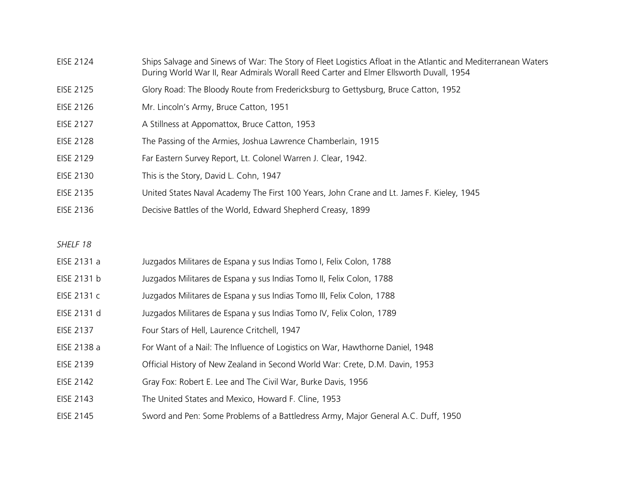- EISE 2124 Ships Salvage and Sinews of War: The Story of Fleet Logistics Afloat in the Atlantic and Mediterranean Waters During World War II, Rear Admirals Worall Reed Carter and Elmer Ellsworth Duvall, 1954
- EISE 2125 Glory Road: The Bloody Route from Fredericksburg to Gettysburg, Bruce Catton, 1952
- EISE 2126 Mr. Lincoln's Army, Bruce Catton, 1951
- EISE 2127 A Stillness at Appomattox, Bruce Catton, 1953
- EISE 2128 The Passing of the Armies, Joshua Lawrence Chamberlain, 1915
- EISE 2129 Far Eastern Survey Report, Lt. Colonel Warren J. Clear, 1942.
- EISE 2130 This is the Story, David L. Cohn, 1947
- EISE 2135 United States Naval Academy The First 100 Years, John Crane and Lt. James F. Kieley, 1945
- EISE 2136 Decisive Battles of the World, Edward Shepherd Creasy, 1899
- *SHELF 18*
- EISE 2131 a Juzgados Militares de Espana y sus Indias Tomo I, Felix Colon, 1788
- EISE 2131 b Juzgados Militares de Espana y sus Indias Tomo II, Felix Colon, 1788
- EISE 2131 c Juzgados Militares de Espana y sus Indias Tomo III, Felix Colon, 1788
- EISE 2131 d Juzgados Militares de Espana y sus Indias Tomo IV, Felix Colon, 1789
- EISE 2137 Four Stars of Hell, Laurence Critchell, 1947
- EISE 2138 a For Want of a Nail: The Influence of Logistics on War, Hawthorne Daniel, 1948
- EISE 2139 Official History of New Zealand in Second World War: Crete, D.M. Davin, 1953
- EISE 2142 Gray Fox: Robert E. Lee and The Civil War, Burke Davis, 1956
- EISE 2143 The United States and Mexico, Howard F. Cline, 1953
- EISE 2145 Sword and Pen: Some Problems of a Battledress Army, Major General A.C. Duff, 1950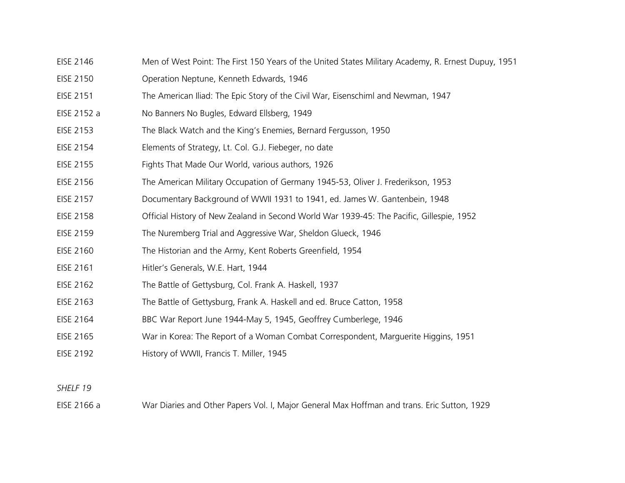- EISE 2146 Men of West Point: The First 150 Years of the United States Military Academy, R. Ernest Dupuy, 1951
- EISE 2150 Operation Neptune, Kenneth Edwards, 1946
- EISE 2151 The American Iliad: The Epic Story of the Civil War, Eisenschiml and Newman, 1947
- EISE 2152 a No Banners No Bugles, Edward Ellsberg, 1949
- EISE 2153 The Black Watch and the King's Enemies, Bernard Fergusson, 1950
- EISE 2154 Elements of Strategy, Lt. Col. G.J. Fiebeger, no date
- EISE 2155 Fights That Made Our World, various authors, 1926
- EISE 2156 The American Military Occupation of Germany 1945-53, Oliver J. Frederikson, 1953
- EISE 2157 Documentary Background of WWII 1931 to 1941, ed. James W. Gantenbein, 1948
- EISE 2158 Official History of New Zealand in Second World War 1939-45: The Pacific, Gillespie, 1952
- EISE 2159 The Nuremberg Trial and Aggressive War, Sheldon Glueck, 1946
- EISE 2160 The Historian and the Army, Kent Roberts Greenfield, 1954
- EISE 2161 Hitler's Generals, W.E. Hart, 1944
- EISE 2162 The Battle of Gettysburg, Col. Frank A. Haskell, 1937
- EISE 2163 The Battle of Gettysburg, Frank A. Haskell and ed. Bruce Catton, 1958
- EISE 2164 BBC War Report June 1944-May 5, 1945, Geoffrey Cumberlege, 1946
- EISE 2165 War in Korea: The Report of a Woman Combat Correspondent, Marguerite Higgins, 1951
- EISE 2192 History of WWII, Francis T. Miller, 1945

EISE 2166 a War Diaries and Other Papers Vol. I, Major General Max Hoffman and trans. Eric Sutton, 1929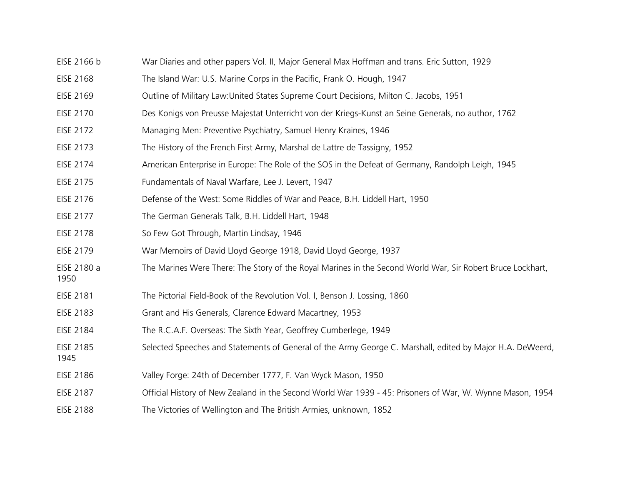- EISE 2166 b War Diaries and other papers Vol. II, Major General Max Hoffman and trans. Eric Sutton, 1929
- EISE 2168 The Island War: U.S. Marine Corps in the Pacific, Frank O. Hough, 1947
- EISE 2169 Outline of Military Law:United States Supreme Court Decisions, Milton C. Jacobs, 1951
- EISE 2170 Des Konigs von Preusse Majestat Unterricht von der Kriegs-Kunst an Seine Generals, no author, 1762
- EISE 2172 Managing Men: Preventive Psychiatry, Samuel Henry Kraines, 1946
- EISE 2173 The History of the French First Army, Marshal de Lattre de Tassigny, 1952
- EISE 2174 American Enterprise in Europe: The Role of the SOS in the Defeat of Germany, Randolph Leigh, 1945
- EISE 2175 Fundamentals of Naval Warfare, Lee J. Levert, 1947
- EISE 2176 Defense of the West: Some Riddles of War and Peace, B.H. Liddell Hart, 1950
- EISE 2177 The German Generals Talk, B.H. Liddell Hart, 1948
- EISE 2178 So Few Got Through, Martin Lindsay, 1946

1950

1945

- EISE 2179 War Memoirs of David Lloyd George 1918, David Lloyd George, 1937
- EISE 2180 a The Marines Were There: The Story of the Royal Marines in the Second World War, Sir Robert Bruce Lockhart,
- EISE 2181 The Pictorial Field-Book of the Revolution Vol. I, Benson J. Lossing, 1860
- EISE 2183 Grant and His Generals, Clarence Edward Macartney, 1953
- EISE 2184 The R.C.A.F. Overseas: The Sixth Year, Geoffrey Cumberlege, 1949
- EISE 2185 Selected Speeches and Statements of General of the Army George C. Marshall, edited by Major H.A. DeWeerd,
- EISE 2186 Valley Forge: 24th of December 1777, F. Van Wyck Mason, 1950
- EISE 2187 Official History of New Zealand in the Second World War 1939 45: Prisoners of War, W. Wynne Mason, 1954
- EISE 2188 The Victories of Wellington and The British Armies, unknown, 1852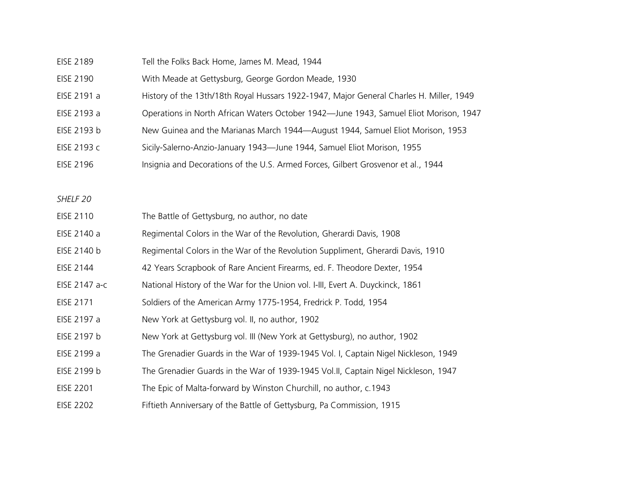| EISE 2189 | Tell the Folks Back Home, James M. Mead, 1944 |
|-----------|-----------------------------------------------|
|-----------|-----------------------------------------------|

- EISE 2190 With Meade at Gettysburg, George Gordon Meade, 1930
- EISE 2191 a History of the 13th/18th Royal Hussars 1922-1947, Major General Charles H. Miller, 1949
- EISE 2193 a Operations in North African Waters October 1942—June 1943, Samuel Eliot Morison, 1947
- EISE 2193 b New Guinea and the Marianas March 1944—August 1944, Samuel Eliot Morison, 1953
- EISE 2193 c Sicily-Salerno-Anzio-January 1943—June 1944, Samuel Eliot Morison, 1955
- EISE 2196 Insignia and Decorations of the U.S. Armed Forces, Gilbert Grosvenor et al., 1944

| <b>EISE 2110</b> | The Battle of Gettysburg, no author, no date                                       |
|------------------|------------------------------------------------------------------------------------|
| EISE 2140 a      | Regimental Colors in the War of the Revolution, Gherardi Davis, 1908               |
| EISE 2140 b      | Regimental Colors in the War of the Revolution Suppliment, Gherardi Davis, 1910    |
| EISE 2144        | 42 Years Scrapbook of Rare Ancient Firearms, ed. F. Theodore Dexter, 1954          |
| EISE 2147 a-c    | National History of the War for the Union vol. I-III, Evert A. Duyckinck, 1861     |
| EISE 2171        | Soldiers of the American Army 1775-1954, Fredrick P. Todd, 1954                    |
| EISE 2197 a      | New York at Gettysburg vol. II, no author, 1902                                    |
| EISE 2197 b      | New York at Gettysburg vol. III (New York at Gettysburg), no author, 1902          |
| EISE 2199 a      | The Grenadier Guards in the War of 1939-1945 Vol. I, Captain Nigel Nickleson, 1949 |
| EISE 2199 b      | The Grenadier Guards in the War of 1939-1945 Vol.II, Captain Nigel Nickleson, 1947 |
| <b>EISE 2201</b> | The Epic of Malta-forward by Winston Churchill, no author, c.1943                  |
| <b>EISE 2202</b> | Fiftieth Anniversary of the Battle of Gettysburg, Pa Commission, 1915              |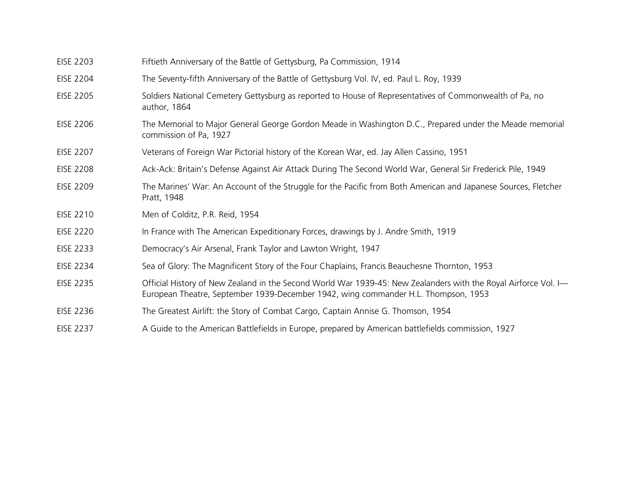| <b>EISE 2203</b> | Fiftieth Anniversary of the Battle of Gettysburg, Pa Commission, 1914                                                                                                                                |
|------------------|------------------------------------------------------------------------------------------------------------------------------------------------------------------------------------------------------|
| EISE 2204        | The Seventy-fifth Anniversary of the Battle of Gettysburg Vol. IV, ed. Paul L. Roy, 1939                                                                                                             |
| <b>EISE 2205</b> | Soldiers National Cemetery Gettysburg as reported to House of Representatives of Commonwealth of Pa, no<br>author, 1864                                                                              |
| <b>EISE 2206</b> | The Memorial to Major General George Gordon Meade in Washington D.C., Prepared under the Meade memorial<br>commission of Pa, 1927                                                                    |
| <b>EISE 2207</b> | Veterans of Foreign War Pictorial history of the Korean War, ed. Jay Allen Cassino, 1951                                                                                                             |
| <b>EISE 2208</b> | Ack-Ack: Britain's Defense Against Air Attack During The Second World War, General Sir Frederick Pile, 1949                                                                                          |
| <b>EISE 2209</b> | The Marines' War: An Account of the Struggle for the Pacific from Both American and Japanese Sources, Fletcher<br>Pratt, 1948                                                                        |
| <b>EISE 2210</b> | Men of Colditz, P.R. Reid, 1954                                                                                                                                                                      |
| <b>EISE 2220</b> | In France with The American Expeditionary Forces, drawings by J. Andre Smith, 1919                                                                                                                   |
| <b>EISE 2233</b> | Democracy's Air Arsenal, Frank Taylor and Lawton Wright, 1947                                                                                                                                        |
| EISE 2234        | Sea of Glory: The Magnificent Story of the Four Chaplains, Francis Beauchesne Thornton, 1953                                                                                                         |
| EISE 2235        | Official History of New Zealand in the Second World War 1939-45: New Zealanders with the Royal Airforce Vol. I<br>European Theatre, September 1939-December 1942, wing commander H.L. Thompson, 1953 |
| EISE 2236        | The Greatest Airlift: the Story of Combat Cargo, Captain Annise G. Thomson, 1954                                                                                                                     |
| <b>EISE 2237</b> | A Guide to the American Battlefields in Europe, prepared by American battlefields commission, 1927                                                                                                   |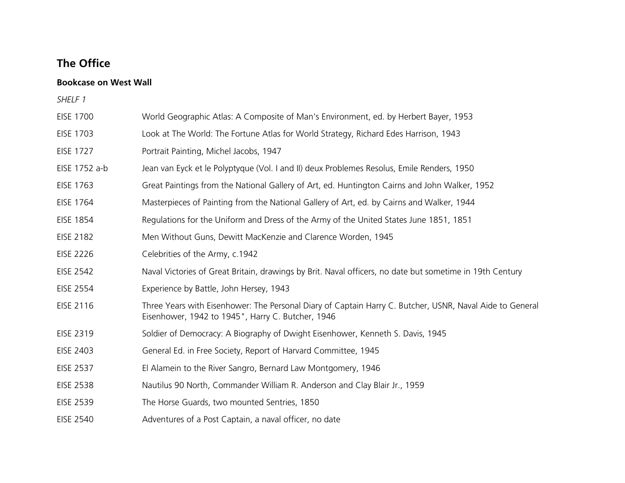# **The Office**

## **Bookcase on West Wall**

| <b>EISE 1700</b> | World Geographic Atlas: A Composite of Man's Environment, ed. by Herbert Bayer, 1953                                                                          |
|------------------|---------------------------------------------------------------------------------------------------------------------------------------------------------------|
| <b>EISE 1703</b> | Look at The World: The Fortune Atlas for World Strategy, Richard Edes Harrison, 1943                                                                          |
| <b>EISE 1727</b> | Portrait Painting, Michel Jacobs, 1947                                                                                                                        |
| EISE 1752 a-b    | Jean van Eyck et le Polyptyque (Vol. I and II) deux Problemes Resolus, Emile Renders, 1950                                                                    |
| <b>EISE 1763</b> | Great Paintings from the National Gallery of Art, ed. Huntington Cairns and John Walker, 1952                                                                 |
| <b>EISE 1764</b> | Masterpieces of Painting from the National Gallery of Art, ed. by Cairns and Walker, 1944                                                                     |
| <b>EISE 1854</b> | Regulations for the Uniform and Dress of the Army of the United States June 1851, 1851                                                                        |
| <b>EISE 2182</b> | Men Without Guns, Dewitt MacKenzie and Clarence Worden, 1945                                                                                                  |
| <b>EISE 2226</b> | Celebrities of the Army, c.1942                                                                                                                               |
| <b>EISE 2542</b> | Naval Victories of Great Britain, drawings by Brit. Naval officers, no date but sometime in 19th Century                                                      |
| <b>EISE 2554</b> | Experience by Battle, John Hersey, 1943                                                                                                                       |
| EISE 2116        | Three Years with Eisenhower: The Personal Diary of Captain Harry C. Butcher, USNR, Naval Aide to General<br>Eisenhower, 1942 to 1945", Harry C. Butcher, 1946 |
| <b>EISE 2319</b> | Soldier of Democracy: A Biography of Dwight Eisenhower, Kenneth S. Davis, 1945                                                                                |
| <b>EISE 2403</b> | General Ed. in Free Society, Report of Harvard Committee, 1945                                                                                                |
| <b>EISE 2537</b> | El Alamein to the River Sangro, Bernard Law Montgomery, 1946                                                                                                  |
| <b>EISE 2538</b> | Nautilus 90 North, Commander William R. Anderson and Clay Blair Jr., 1959                                                                                     |
| <b>EISE 2539</b> | The Horse Guards, two mounted Sentries, 1850                                                                                                                  |
| <b>EISE 2540</b> | Adventures of a Post Captain, a naval officer, no date                                                                                                        |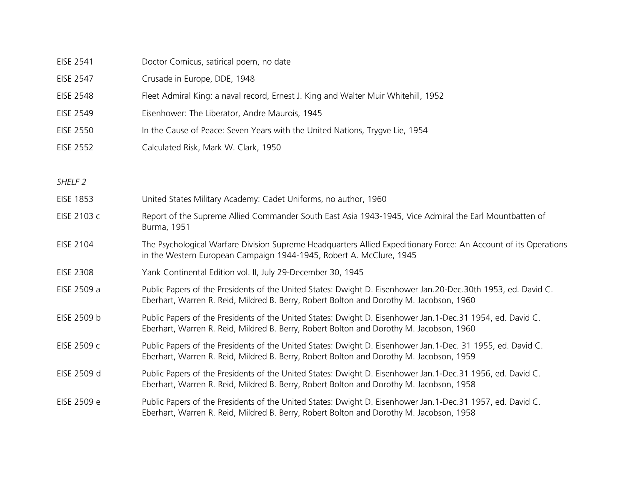| <b>EISE 2541</b>   | Doctor Comicus, satirical poem, no date                                                                                                                                                                  |
|--------------------|----------------------------------------------------------------------------------------------------------------------------------------------------------------------------------------------------------|
| <b>EISE 2547</b>   | Crusade in Europe, DDE, 1948                                                                                                                                                                             |
| <b>EISE 2548</b>   | Fleet Admiral King: a naval record, Ernest J. King and Walter Muir Whitehill, 1952                                                                                                                       |
| <b>EISE 2549</b>   | Eisenhower: The Liberator, Andre Maurois, 1945                                                                                                                                                           |
| <b>EISE 2550</b>   | In the Cause of Peace: Seven Years with the United Nations, Trygve Lie, 1954                                                                                                                             |
| <b>EISE 2552</b>   | Calculated Risk, Mark W. Clark, 1950                                                                                                                                                                     |
|                    |                                                                                                                                                                                                          |
| SHELF <sub>2</sub> |                                                                                                                                                                                                          |
| <b>EISE 1853</b>   | United States Military Academy: Cadet Uniforms, no author, 1960                                                                                                                                          |
| EISE 2103 c        | Report of the Supreme Allied Commander South East Asia 1943-1945, Vice Admiral the Earl Mountbatten of<br>Burma, 1951                                                                                    |
| EISE 2104          | The Psychological Warfare Division Supreme Headquarters Allied Expeditionary Force: An Account of its Operations<br>in the Western European Campaign 1944-1945, Robert A. McClure, 1945                  |
| <b>EISE 2308</b>   | Yank Continental Edition vol. II, July 29-December 30, 1945                                                                                                                                              |
| EISE 2509 a        | Public Papers of the Presidents of the United States: Dwight D. Eisenhower Jan.20-Dec.30th 1953, ed. David C.<br>Eberhart, Warren R. Reid, Mildred B. Berry, Robert Bolton and Dorothy M. Jacobson, 1960 |
| EISE 2509 b        | Public Papers of the Presidents of the United States: Dwight D. Eisenhower Jan.1-Dec.31 1954, ed. David C.<br>Eberhart, Warren R. Reid, Mildred B. Berry, Robert Bolton and Dorothy M. Jacobson, 1960    |
| EISE 2509 c        | Public Papers of the Presidents of the United States: Dwight D. Eisenhower Jan.1-Dec. 31 1955, ed. David C.<br>Eberhart, Warren R. Reid, Mildred B. Berry, Robert Bolton and Dorothy M. Jacobson, 1959   |
| EISE 2509 d        | Public Papers of the Presidents of the United States: Dwight D. Eisenhower Jan.1-Dec.31 1956, ed. David C.<br>Eberhart, Warren R. Reid, Mildred B. Berry, Robert Bolton and Dorothy M. Jacobson, 1958    |
| EISE 2509 e        | Public Papers of the Presidents of the United States: Dwight D. Eisenhower Jan.1-Dec.31 1957, ed. David C.<br>Eberhart, Warren R. Reid, Mildred B. Berry, Robert Bolton and Dorothy M. Jacobson, 1958    |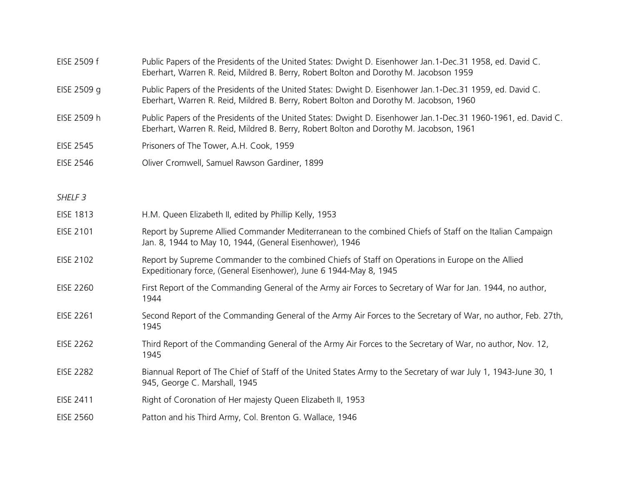| EISE 2509 f        | Public Papers of the Presidents of the United States: Dwight D. Eisenhower Jan.1-Dec.31 1958, ed. David C.<br>Eberhart, Warren R. Reid, Mildred B. Berry, Robert Bolton and Dorothy M. Jacobson 1959       |
|--------------------|------------------------------------------------------------------------------------------------------------------------------------------------------------------------------------------------------------|
| EISE 2509 g        | Public Papers of the Presidents of the United States: Dwight D. Eisenhower Jan.1-Dec.31 1959, ed. David C.<br>Eberhart, Warren R. Reid, Mildred B. Berry, Robert Bolton and Dorothy M. Jacobson, 1960      |
| EISE 2509 h        | Public Papers of the Presidents of the United States: Dwight D. Eisenhower Jan.1-Dec.31 1960-1961, ed. David C.<br>Eberhart, Warren R. Reid, Mildred B. Berry, Robert Bolton and Dorothy M. Jacobson, 1961 |
| <b>EISE 2545</b>   | Prisoners of The Tower, A.H. Cook, 1959                                                                                                                                                                    |
| <b>EISE 2546</b>   | Oliver Cromwell, Samuel Rawson Gardiner, 1899                                                                                                                                                              |
|                    |                                                                                                                                                                                                            |
| SHELF <sub>3</sub> |                                                                                                                                                                                                            |
| <b>EISE 1813</b>   | H.M. Queen Elizabeth II, edited by Phillip Kelly, 1953                                                                                                                                                     |
| EISE 2101          | Report by Supreme Allied Commander Mediterranean to the combined Chiefs of Staff on the Italian Campaign<br>Jan. 8, 1944 to May 10, 1944, (General Eisenhower), 1946                                       |
| <b>EISE 2102</b>   | Report by Supreme Commander to the combined Chiefs of Staff on Operations in Europe on the Allied<br>Expeditionary force, (General Eisenhower), June 6 1944-May 8, 1945                                    |
| <b>EISE 2260</b>   | First Report of the Commanding General of the Army air Forces to Secretary of War for Jan. 1944, no author,<br>1944                                                                                        |
| <b>EISE 2261</b>   | Second Report of the Commanding General of the Army Air Forces to the Secretary of War, no author, Feb. 27th,<br>1945                                                                                      |
| <b>EISE 2262</b>   | Third Report of the Commanding General of the Army Air Forces to the Secretary of War, no author, Nov. 12,<br>1945                                                                                         |
| <b>EISE 2282</b>   | Biannual Report of The Chief of Staff of the United States Army to the Secretary of war July 1, 1943-June 30, 1<br>945, George C. Marshall, 1945                                                           |
| EISE 2411          | Right of Coronation of Her majesty Queen Elizabeth II, 1953                                                                                                                                                |
| <b>EISE 2560</b>   | Patton and his Third Army, Col. Brenton G. Wallace, 1946                                                                                                                                                   |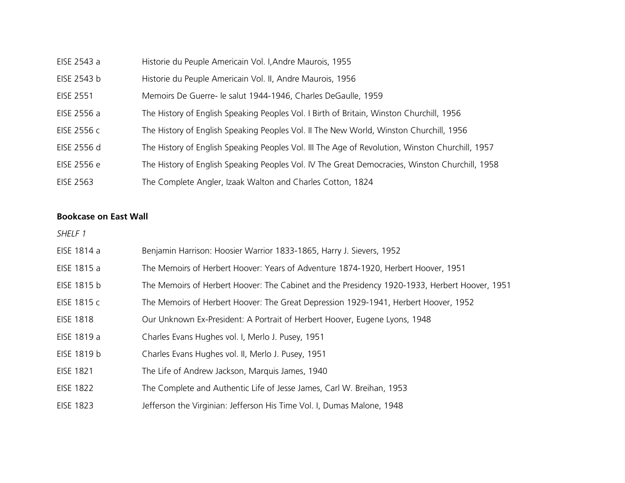| EISE 2543 a      | Historie du Peuple Americain Vol. I, Andre Maurois, 1955                                        |
|------------------|-------------------------------------------------------------------------------------------------|
| EISE 2543 b      | Historie du Peuple Americain Vol. II, Andre Maurois, 1956                                       |
| <b>EISE 2551</b> | Memoirs De Guerre- le salut 1944-1946, Charles DeGaulle, 1959                                   |
| EISE 2556 a      | The History of English Speaking Peoples Vol. I Birth of Britain, Winston Churchill, 1956        |
| EISE 2556 c      | The History of English Speaking Peoples Vol. II The New World, Winston Churchill, 1956          |
| EISE 2556 d      | The History of English Speaking Peoples Vol. III The Age of Revolution, Winston Churchill, 1957 |
| EISE 2556 e      | The History of English Speaking Peoples Vol. IV The Great Democracies, Winston Churchill, 1958  |
| EISE 2563        | The Complete Angler, Izaak Walton and Charles Cotton, 1824                                      |

## **Bookcase on East Wall**

| EISE 1814 a      | Benjamin Harrison: Hoosier Warrior 1833-1865, Harry J. Sievers, 1952                          |
|------------------|-----------------------------------------------------------------------------------------------|
| EISE 1815 a      | The Memoirs of Herbert Hoover: Years of Adventure 1874-1920, Herbert Hoover, 1951             |
| EISE 1815 b      | The Memoirs of Herbert Hoover: The Cabinet and the Presidency 1920-1933, Herbert Hoover, 1951 |
| EISE 1815 c      | The Memoirs of Herbert Hoover: The Great Depression 1929-1941, Herbert Hoover, 1952           |
| <b>EISE 1818</b> | Our Unknown Ex-President: A Portrait of Herbert Hoover, Eugene Lyons, 1948                    |
| EISE 1819 a      | Charles Evans Hughes vol. I, Merlo J. Pusey, 1951                                             |
| EISE 1819 b      | Charles Evans Hughes vol. II, Merlo J. Pusey, 1951                                            |
| <b>EISE 1821</b> | The Life of Andrew Jackson, Marquis James, 1940                                               |
| <b>EISE 1822</b> | The Complete and Authentic Life of Jesse James, Carl W. Breihan, 1953                         |
| <b>EISE 1823</b> | Jefferson the Virginian: Jefferson His Time Vol. I, Dumas Malone, 1948                        |
|                  |                                                                                               |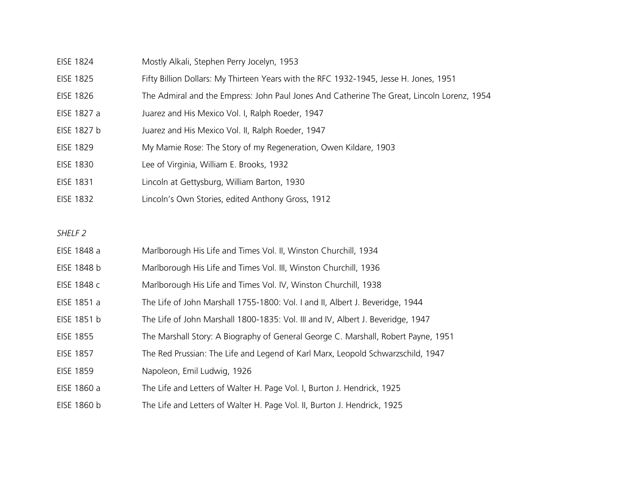- EISE 1824 Mostly Alkali, Stephen Perry Jocelyn, 1953
- EISE 1825 Fifty Billion Dollars: My Thirteen Years with the RFC 1932-1945, Jesse H. Jones, 1951
- EISE 1826 The Admiral and the Empress: John Paul Jones And Catherine The Great, Lincoln Lorenz, 1954
- EISE 1827 a Juarez and His Mexico Vol. I, Ralph Roeder, 1947
- EISE 1827 b Juarez and His Mexico Vol. II, Ralph Roeder, 1947
- EISE 1829 My Mamie Rose: The Story of my Regeneration, Owen Kildare, 1903
- EISE 1830 Lee of Virginia, William E. Brooks, 1932
- EISE 1831 Lincoln at Gettysburg, William Barton, 1930
- EISE 1832 Lincoln's Own Stories, edited Anthony Gross, 1912

- EISE 1848 a Marlborough His Life and Times Vol. II, Winston Churchill, 1934
- EISE 1848 b Marlborough His Life and Times Vol. III, Winston Churchill, 1936
- EISE 1848 c Marlborough His Life and Times Vol. IV, Winston Churchill, 1938
- EISE 1851 a The Life of John Marshall 1755-1800: Vol. I and II, Albert J. Beveridge, 1944
- EISE 1851 b The Life of John Marshall 1800-1835: Vol. III and IV, Albert J. Beveridge, 1947
- EISE 1855 The Marshall Story: A Biography of General George C. Marshall, Robert Payne, 1951
- EISE 1857 The Red Prussian: The Life and Legend of Karl Marx, Leopold Schwarzschild, 1947
- EISE 1859 Napoleon, Emil Ludwig, 1926
- EISE 1860 a The Life and Letters of Walter H. Page Vol. I, Burton J. Hendrick, 1925
- EISE 1860 b The Life and Letters of Walter H. Page Vol. II, Burton J. Hendrick, 1925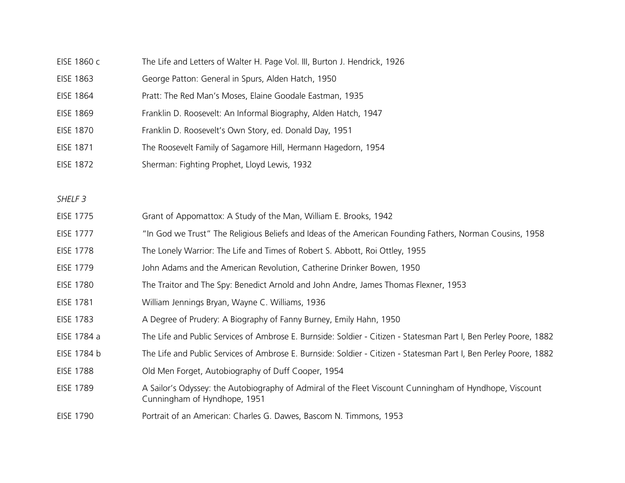- EISE 1860 c The Life and Letters of Walter H. Page Vol. III, Burton J. Hendrick, 1926
- EISE 1863 George Patton: General in Spurs, Alden Hatch, 1950
- EISE 1864 Pratt: The Red Man's Moses, Elaine Goodale Eastman, 1935
- EISE 1869 Franklin D. Roosevelt: An Informal Biography, Alden Hatch, 1947
- EISE 1870 Franklin D. Roosevelt's Own Story, ed. Donald Day, 1951
- EISE 1871 The Roosevelt Family of Sagamore Hill, Hermann Hagedorn, 1954
- EISE 1872 Sherman: Fighting Prophet, Lloyd Lewis, 1932

- EISE 1775 Grant of Appomattox: A Study of the Man, William E. Brooks, 1942
- EISE 1777 "In God we Trust" The Religious Beliefs and Ideas of the American Founding Fathers, Norman Cousins, 1958
- EISE 1778 The Lonely Warrior: The Life and Times of Robert S. Abbott, Roi Ottley, 1955
- EISE 1779 John Adams and the American Revolution, Catherine Drinker Bowen, 1950
- EISE 1780 The Traitor and The Spy: Benedict Arnold and John Andre, James Thomas Flexner, 1953
- EISE 1781 William Jennings Bryan, Wayne C. Williams, 1936
- EISE 1783 A Degree of Prudery: A Biography of Fanny Burney, Emily Hahn, 1950
- EISE 1784 a The Life and Public Services of Ambrose E. Burnside: Soldier Citizen Statesman Part I, Ben Perley Poore, 1882
- EISE 1784 b The Life and Public Services of Ambrose E. Burnside: Soldier Citizen Statesman Part I, Ben Perley Poore, 1882
- EISE 1788 Old Men Forget, Autobiography of Duff Cooper, 1954
- EISE 1789 A Sailor's Odyssey: the Autobiography of Admiral of the Fleet Viscount Cunningham of Hyndhope, Viscount Cunningham of Hyndhope, 1951
- EISE 1790 Portrait of an American: Charles G. Dawes, Bascom N. Timmons, 1953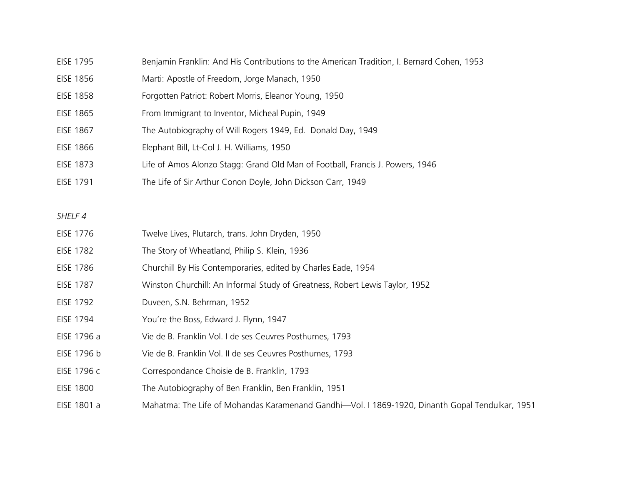- EISE 1795 Benjamin Franklin: And His Contributions to the American Tradition, I. Bernard Cohen, 1953
- EISE 1856 Marti: Apostle of Freedom, Jorge Manach, 1950
- EISE 1858 Forgotten Patriot: Robert Morris, Eleanor Young, 1950
- EISE 1865 From Immigrant to Inventor, Micheal Pupin, 1949
- EISE 1867 The Autobiography of Will Rogers 1949, Ed. Donald Day, 1949
- EISE 1866 Elephant Bill, Lt-Col J. H. Williams, 1950
- EISE 1873 Life of Amos Alonzo Stagg: Grand Old Man of Football, Francis J. Powers, 1946
- EISE 1791 The Life of Sir Arthur Conon Doyle, John Dickson Carr, 1949

- EISE 1776 Twelve Lives, Plutarch, trans. John Dryden, 1950
- EISE 1782 The Story of Wheatland, Philip S. Klein, 1936
- EISE 1786 Churchill By His Contemporaries, edited by Charles Eade, 1954
- EISE 1787 Winston Churchill: An Informal Study of Greatness, Robert Lewis Taylor, 1952
- EISE 1792 Duveen, S.N. Behrman, 1952
- EISE 1794 You're the Boss, Edward J. Flynn, 1947
- EISE 1796 a Vie de B. Franklin Vol. I de ses Ceuvres Posthumes, 1793
- EISE 1796 b Vie de B. Franklin Vol. II de ses Ceuvres Posthumes, 1793
- EISE 1796 c Correspondance Choisie de B. Franklin, 1793
- EISE 1800 The Autobiography of Ben Franklin, Ben Franklin, 1951
- EISE 1801 a Mahatma: The Life of Mohandas Karamenand Gandhi—Vol. I 1869-1920, Dinanth Gopal Tendulkar, 1951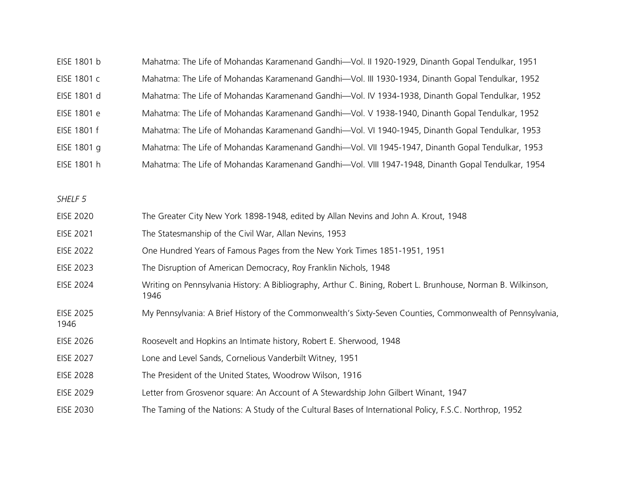| EISE 1801 b | Mahatma: The Life of Mohandas Karamenand Gandhi-Vol. II 1920-1929, Dinanth Gopal Tendulkar, 1951   |
|-------------|----------------------------------------------------------------------------------------------------|
| EISE 1801 c | Mahatma: The Life of Mohandas Karamenand Gandhi-Vol. III 1930-1934, Dinanth Gopal Tendulkar, 1952  |
| EISE 1801 d | Mahatma: The Life of Mohandas Karamenand Gandhi-Vol. IV 1934-1938, Dinanth Gopal Tendulkar, 1952   |
| EISE 1801 e | Mahatma: The Life of Mohandas Karamenand Gandhi-Vol. V 1938-1940, Dinanth Gopal Tendulkar, 1952    |
| EISE 1801 f | Mahatma: The Life of Mohandas Karamenand Gandhi-Vol. VI 1940-1945, Dinanth Gopal Tendulkar, 1953   |
| EISE 1801 g | Mahatma: The Life of Mohandas Karamenand Gandhi-Vol. VII 1945-1947, Dinanth Gopal Tendulkar, 1953  |
| EISE 1801 h | Mahatma: The Life of Mohandas Karamenand Gandhi-Vol. VIII 1947-1948, Dinanth Gopal Tendulkar, 1954 |

|--|

- EISE 2021 The Statesmanship of the Civil War, Allan Nevins, 1953
- EISE 2022 One Hundred Years of Famous Pages from the New York Times 1851-1951, 1951
- EISE 2023 The Disruption of American Democracy, Roy Franklin Nichols, 1948
- EISE 2024 Writing on Pennsylvania History: A Bibliography, Arthur C. Bining, Robert L. Brunhouse, Norman B. Wilkinson, 1946
- EISE 2025 My Pennsylvania: A Brief History of the Commonwealth's Sixty-Seven Counties, Commonwealth of Pennsylvania,
- 1946
- EISE 2026 Roosevelt and Hopkins an Intimate history, Robert E. Sherwood, 1948
- EISE 2027 Lone and Level Sands, Cornelious Vanderbilt Witney, 1951
- EISE 2028 The President of the United States, Woodrow Wilson, 1916
- EISE 2029 Letter from Grosvenor square: An Account of A Stewardship John Gilbert Winant, 1947
- EISE 2030 The Taming of the Nations: A Study of the Cultural Bases of International Policy, F.S.C. Northrop, 1952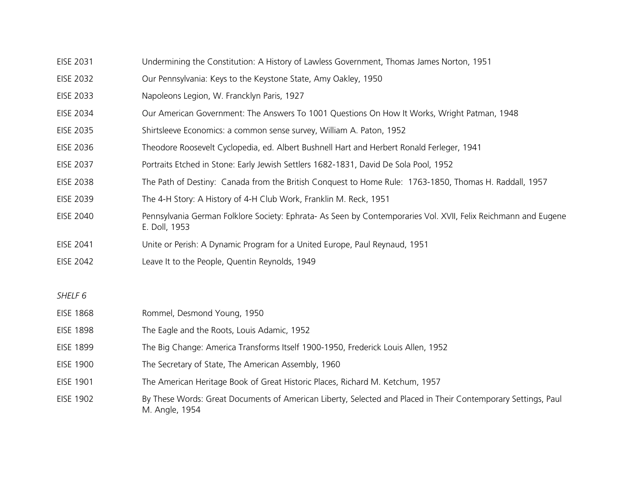- EISE 2031 Undermining the Constitution: A History of Lawless Government, Thomas James Norton, 1951
- EISE 2032 Our Pennsylvania: Keys to the Keystone State, Amy Oakley, 1950
- EISE 2033 Napoleons Legion, W. Francklyn Paris, 1927
- EISE 2034 Our American Government: The Answers To 1001 Questions On How It Works, Wright Patman, 1948
- EISE 2035 Shirtsleeve Economics: a common sense survey, William A. Paton, 1952
- EISE 2036 Theodore Roosevelt Cyclopedia, ed. Albert Bushnell Hart and Herbert Ronald Ferleger, 1941
- EISE 2037 Portraits Etched in Stone: Early Jewish Settlers 1682-1831, David De Sola Pool, 1952
- EISE 2038 The Path of Destiny: Canada from the British Conquest to Home Rule: 1763-1850, Thomas H. Raddall, 1957
- EISE 2039 The 4-H Story: A History of 4-H Club Work, Franklin M. Reck, 1951
- EISE 2040 Pennsylvania German Folklore Society: Ephrata- As Seen by Contemporaries Vol. XVII, Felix Reichmann and Eugene E. Doll, 1953
- EISE 2041 Unite or Perish: A Dynamic Program for a United Europe, Paul Reynaud, 1951
- EISE 2042 Leave It to the People, Quentin Reynolds, 1949

| <b>EISE 1868</b> | Rommel, Desmond Young, 1950                                                                                                     |
|------------------|---------------------------------------------------------------------------------------------------------------------------------|
| <b>EISE 1898</b> | The Eagle and the Roots, Louis Adamic, 1952                                                                                     |
| <b>EISE 1899</b> | The Big Change: America Transforms Itself 1900-1950, Frederick Louis Allen, 1952                                                |
| <b>EISE 1900</b> | The Secretary of State, The American Assembly, 1960                                                                             |
| <b>EISE 1901</b> | The American Heritage Book of Great Historic Places, Richard M. Ketchum, 1957                                                   |
| <b>EISE 1902</b> | By These Words: Great Documents of American Liberty, Selected and Placed in Their Contemporary Settings, Paul<br>M. Angle, 1954 |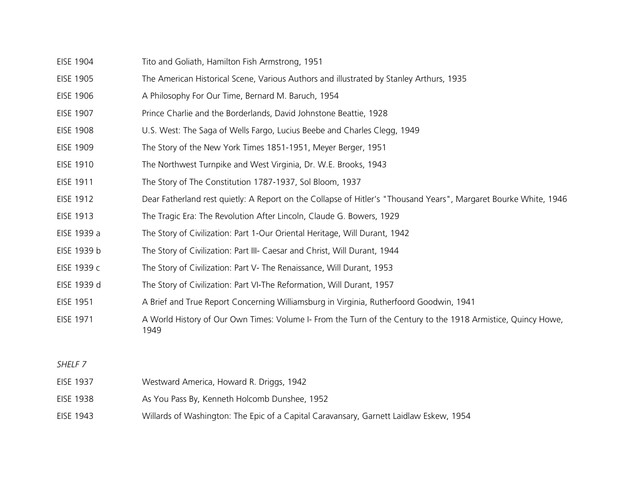- EISE 1904 Tito and Goliath, Hamilton Fish Armstrong, 1951
- EISE 1905 The American Historical Scene, Various Authors and illustrated by Stanley Arthurs, 1935
- EISE 1906 A Philosophy For Our Time, Bernard M. Baruch, 1954
- EISE 1907 Prince Charlie and the Borderlands, David Johnstone Beattie, 1928
- EISE 1908 U.S. West: The Saga of Wells Fargo, Lucius Beebe and Charles Clegg, 1949
- EISE 1909 The Story of the New York Times 1851-1951, Meyer Berger, 1951
- EISE 1910 The Northwest Turnpike and West Virginia, Dr. W.E. Brooks, 1943
- EISE 1911 The Story of The Constitution 1787-1937, Sol Bloom, 1937
- EISE 1912 Dear Fatherland rest quietly: A Report on the Collapse of Hitler's "Thousand Years", Margaret Bourke White, 1946
- EISE 1913 The Tragic Era: The Revolution After Lincoln, Claude G. Bowers, 1929
- EISE 1939 a The Story of Civilization: Part 1-Our Oriental Heritage, Will Durant, 1942
- EISE 1939 b The Story of Civilization: Part III- Caesar and Christ, Will Durant, 1944
- EISE 1939 c The Story of Civilization: Part V- The Renaissance, Will Durant, 1953
- EISE 1939 d The Story of Civilization: Part VI-The Reformation, Will Durant, 1957
- EISE 1951 A Brief and True Report Concerning Williamsburg in Virginia, Rutherfoord Goodwin, 1941
- EISE 1971 A World History of Our Own Times: Volume I- From the Turn of the Century to the 1918 Armistice, Quincy Howe, 1949

- EISE 1937 Westward America, Howard R. Driggs, 1942
- EISE 1938 As You Pass By, Kenneth Holcomb Dunshee, 1952
- EISE 1943 Willards of Washington: The Epic of a Capital Caravansary, Garnett Laidlaw Eskew, 1954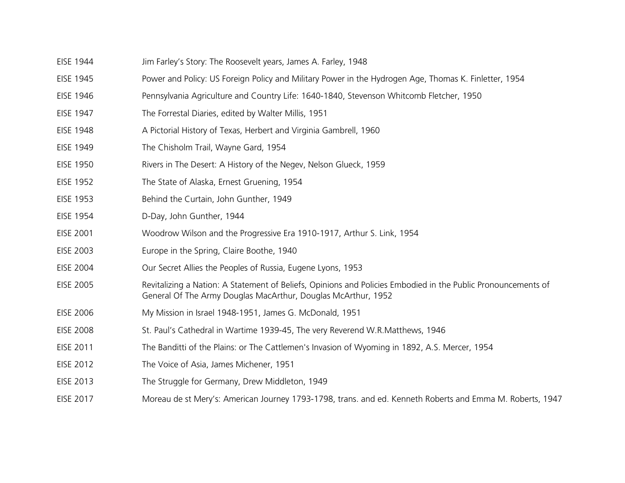- EISE 1944 Jim Farley's Story: The Roosevelt years, James A. Farley, 1948
- EISE 1945 Power and Policy: US Foreign Policy and Military Power in the Hydrogen Age, Thomas K. Finletter, 1954
- EISE 1946 Pennsylvania Agriculture and Country Life: 1640-1840, Stevenson Whitcomb Fletcher, 1950
- EISE 1947 The Forrestal Diaries, edited by Walter Millis, 1951
- EISE 1948 A Pictorial History of Texas, Herbert and Virginia Gambrell, 1960
- EISE 1949 The Chisholm Trail, Wayne Gard, 1954
- EISE 1950 Rivers in The Desert: A History of the Negev, Nelson Glueck, 1959
- EISE 1952 The State of Alaska, Ernest Gruening, 1954
- EISE 1953 Behind the Curtain, John Gunther, 1949
- EISE 1954 D-Day, John Gunther, 1944
- EISE 2001 Woodrow Wilson and the Progressive Era 1910-1917, Arthur S. Link, 1954
- EISE 2003 Europe in the Spring, Claire Boothe, 1940
- EISE 2004 Our Secret Allies the Peoples of Russia, Eugene Lyons, 1953
- EISE 2005 Revitalizing a Nation: A Statement of Beliefs, Opinions and Policies Embodied in the Public Pronouncements of General Of The Army Douglas MacArthur, Douglas McArthur, 1952
- EISE 2006 My Mission in Israel 1948-1951, James G. McDonald, 1951
- EISE 2008 St. Paul's Cathedral in Wartime 1939-45, The very Reverend W.R.Matthews, 1946
- EISE 2011 The Banditti of the Plains: or The Cattlemen's Invasion of Wyoming in 1892, A.S. Mercer, 1954
- EISE 2012 The Voice of Asia, James Michener, 1951
- EISE 2013 The Struggle for Germany, Drew Middleton, 1949
- EISE 2017 Moreau de st Mery's: American Journey 1793-1798, trans. and ed. Kenneth Roberts and Emma M. Roberts, 1947